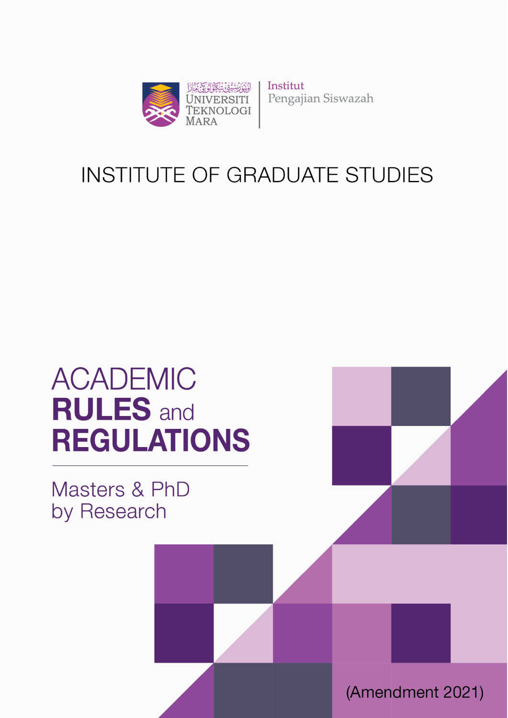

Institut Pengajian Siswazah

# **INSTITUTE OF GRADUATE STUDIES**

# **ACADEMIC RULES** and **REGULATIONS**

Institute of Postgraduate Studies (IPSis)

Masters & PhD by Research

(Amendment 2021)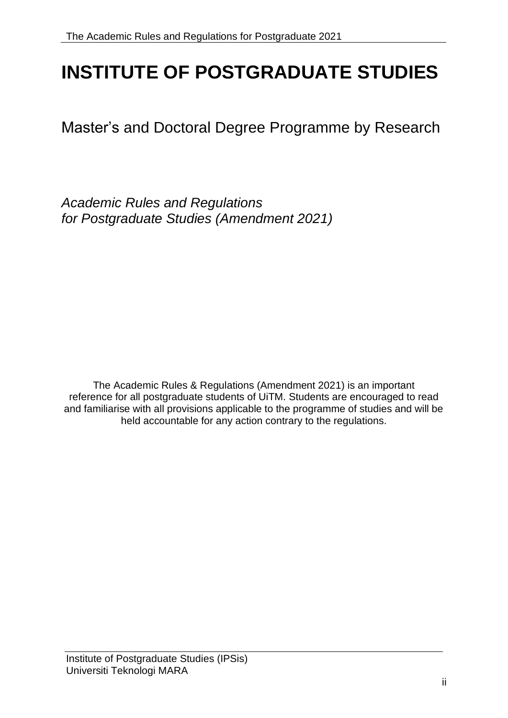# **INSTITUTE OF POSTGRADUATE STUDIES**

Master's and Doctoral Degree Programme by Research

*Academic Rules and Regulations for Postgraduate Studies (Amendment 2021)*

The Academic Rules & Regulations (Amendment 2021) is an important reference for all postgraduate students of UiTM. Students are encouraged to read and familiarise with all provisions applicable to the programme of studies and will be held accountable for any action contrary to the regulations.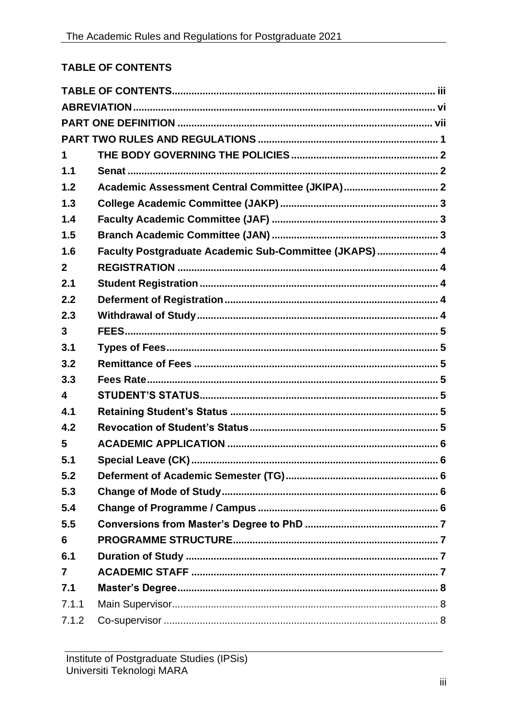# <span id="page-2-0"></span>**TABLE OF CONTENTS**

| 1                       |                                                        |  |  |  |  |
|-------------------------|--------------------------------------------------------|--|--|--|--|
| 1.1                     |                                                        |  |  |  |  |
| 1.2                     | Academic Assessment Central Committee (JKIPA) 2        |  |  |  |  |
| 1.3                     |                                                        |  |  |  |  |
| 1.4                     |                                                        |  |  |  |  |
| 1.5                     |                                                        |  |  |  |  |
| 1.6                     | Faculty Postgraduate Academic Sub-Committee (JKAPS)  4 |  |  |  |  |
| $\mathbf{2}$            |                                                        |  |  |  |  |
| 2.1                     |                                                        |  |  |  |  |
| 2.2                     |                                                        |  |  |  |  |
| 2.3                     |                                                        |  |  |  |  |
| 3                       |                                                        |  |  |  |  |
| 3.1                     |                                                        |  |  |  |  |
| 3.2                     |                                                        |  |  |  |  |
| 3.3                     |                                                        |  |  |  |  |
| $\overline{\mathbf{4}}$ |                                                        |  |  |  |  |
| 4.1                     |                                                        |  |  |  |  |
| 4.2                     |                                                        |  |  |  |  |
| 5                       |                                                        |  |  |  |  |
| 5.1                     |                                                        |  |  |  |  |
| 5.2                     |                                                        |  |  |  |  |
| 5.3                     |                                                        |  |  |  |  |
| 5.4                     |                                                        |  |  |  |  |
| 5.5                     |                                                        |  |  |  |  |
| 6                       |                                                        |  |  |  |  |
| 6.1                     |                                                        |  |  |  |  |
| $\overline{7}$          |                                                        |  |  |  |  |
| 7.1                     |                                                        |  |  |  |  |
| 7.1.1                   |                                                        |  |  |  |  |
| 7.1.2                   |                                                        |  |  |  |  |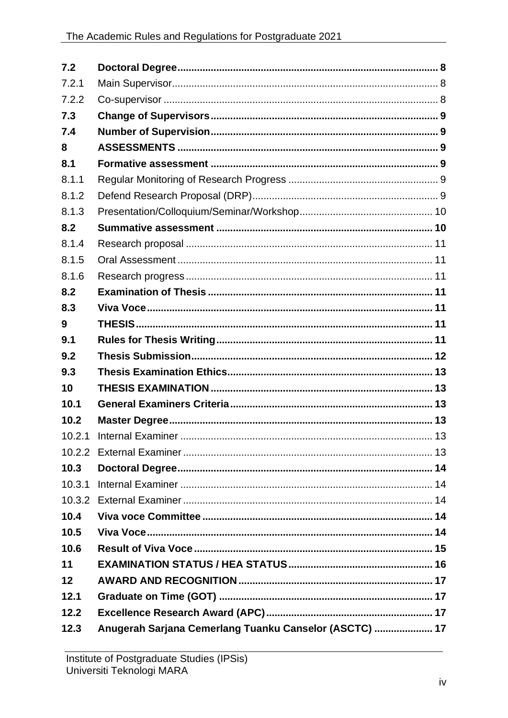| 7.2    |  |
|--------|--|
| 7.2.1  |  |
| 7.2.2  |  |
| 7.3    |  |
| 7.4    |  |
| 8      |  |
| 8.1    |  |
| 8.1.1  |  |
| 8.1.2  |  |
| 8.1.3  |  |
| 8.2    |  |
| 8.1.4  |  |
| 8.1.5  |  |
| 8.1.6  |  |
| 8.2    |  |
| 8.3    |  |
| 9      |  |
| 9.1    |  |
| 9.2    |  |
| 9.3    |  |
| 10     |  |
| 10.1   |  |
| 10.2   |  |
| 10.2.1 |  |
|        |  |
| 10.3   |  |
| 10.3.1 |  |
| 10.3.2 |  |
| 10.4   |  |
| 10.5   |  |
| 10.6   |  |
| 11     |  |
| 12     |  |
| 12.1   |  |
|        |  |
| 12.2   |  |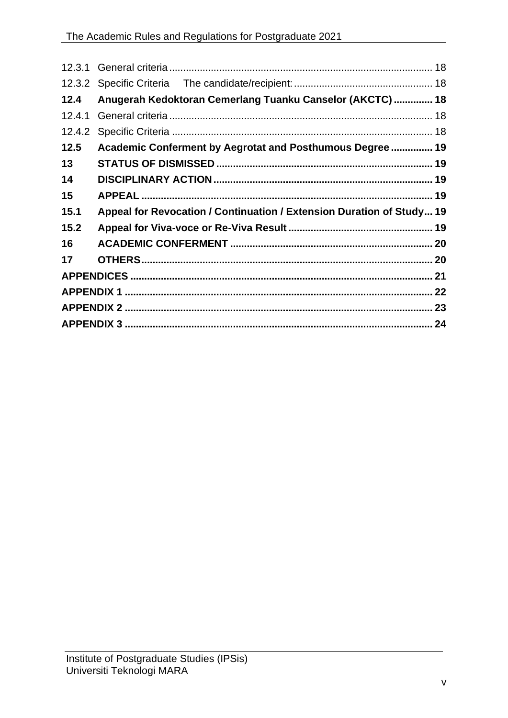| 12.4   | Anugerah Kedoktoran Cemerlang Tuanku Canselor (AKCTC)  18             |  |  |  |
|--------|-----------------------------------------------------------------------|--|--|--|
| 12.4.1 |                                                                       |  |  |  |
| 12.4.2 |                                                                       |  |  |  |
| 12.5   | Academic Conferment by Aegrotat and Posthumous Degree  19             |  |  |  |
| 13     |                                                                       |  |  |  |
| 14     |                                                                       |  |  |  |
| 15     |                                                                       |  |  |  |
| 15.1   | Appeal for Revocation / Continuation / Extension Duration of Study 19 |  |  |  |
| 15.2   |                                                                       |  |  |  |
| 16     |                                                                       |  |  |  |
| 17     |                                                                       |  |  |  |
|        |                                                                       |  |  |  |
|        |                                                                       |  |  |  |
|        |                                                                       |  |  |  |
|        |                                                                       |  |  |  |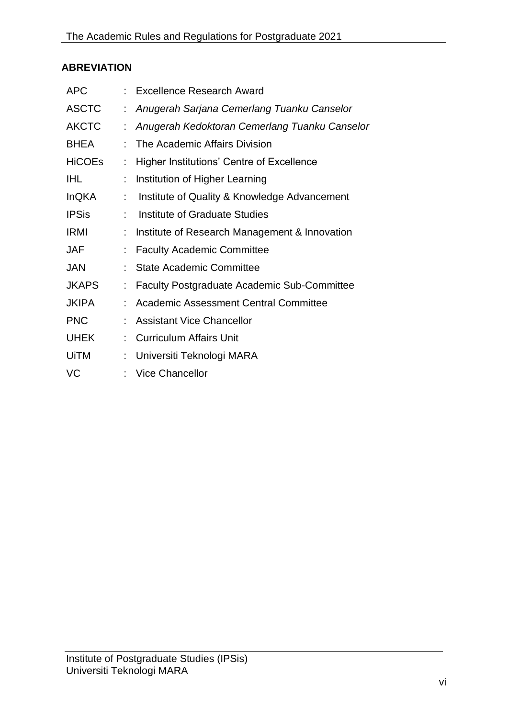# <span id="page-5-0"></span>**ABREVIATION**

| <b>APC</b>    |    | Excellence Research Award                          |
|---------------|----|----------------------------------------------------|
| <b>ASCTC</b>  | t. | Anugerah Sarjana Cemerlang Tuanku Canselor         |
| <b>AKCTC</b>  | t  | Anugerah Kedoktoran Cemerlang Tuanku Canselor      |
| <b>BHEA</b>   |    | The Academic Affairs Division                      |
| <b>HiCOEs</b> |    | <b>Higher Institutions' Centre of Excellence</b>   |
| <b>IHL</b>    |    | Institution of Higher Learning                     |
| <b>InQKA</b>  | t  | Institute of Quality & Knowledge Advancement       |
| <b>IPSis</b>  | t  | Institute of Graduate Studies                      |
| <b>IRMI</b>   |    | Institute of Research Management & Innovation      |
| <b>JAF</b>    | ÷  | <b>Faculty Academic Committee</b>                  |
| <b>JAN</b>    |    | <b>State Academic Committee</b>                    |
| <b>JKAPS</b>  | ÷  | <b>Faculty Postgraduate Academic Sub-Committee</b> |
| <b>JKIPA</b>  |    | <b>Academic Assessment Central Committee</b>       |
| <b>PNC</b>    |    | <b>Assistant Vice Chancellor</b>                   |
| <b>UHEK</b>   | t. | <b>Curriculum Affairs Unit</b>                     |
| <b>UiTM</b>   |    | Universiti Teknologi MARA                          |
| VC            |    | <b>Vice Chancellor</b>                             |
|               |    |                                                    |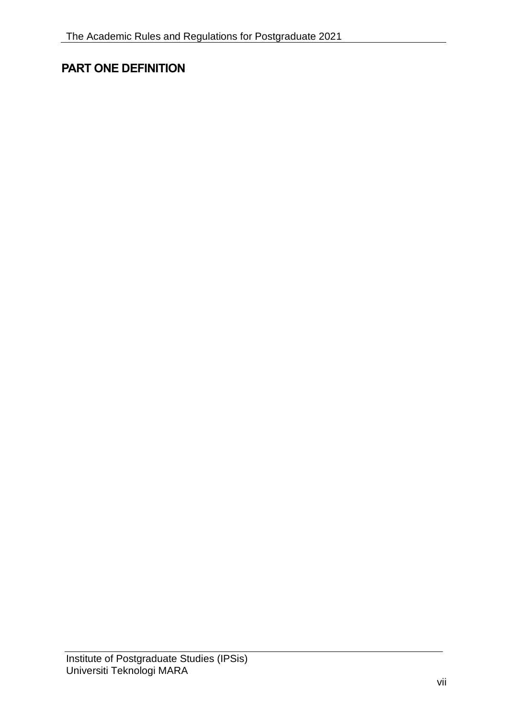# <span id="page-6-0"></span>**PART ONE DEFINITION**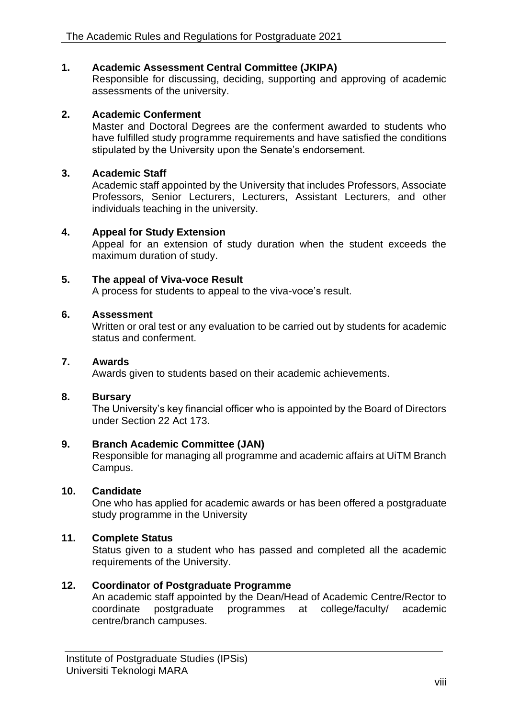# **1. Academic Assessment Central Committee (JKIPA)**

Responsible for discussing, deciding, supporting and approving of academic assessments of the university.

# **2. Academic Conferment**

Master and Doctoral Degrees are the conferment awarded to students who have fulfilled study programme requirements and have satisfied the conditions stipulated by the University upon the Senate's endorsement.

### **3. Academic Staff**

Academic staff appointed by the University that includes Professors, Associate Professors, Senior Lecturers, Lecturers, Assistant Lecturers, and other individuals teaching in the university.

### **4. Appeal for Study Extension**

Appeal for an extension of study duration when the student exceeds the maximum duration of study.

### **5. The appeal of Viva-voce Result**

A process for students to appeal to the viva-voce's result.

### **6. Assessment**

Written or oral test or any evaluation to be carried out by students for academic status and conferment.

### **7. Awards**

Awards given to students based on their academic achievements.

### **8. Bursary**

The University's key financial officer who is appointed by the Board of Directors under Section 22 Act 173.

### **9. Branch Academic Committee (JAN)**

Responsible for managing all programme and academic affairs at UiTM Branch Campus.

### **10. Candidate**

One who has applied for academic awards or has been offered a postgraduate study programme in the University

# **11. Complete Status**

Status given to a student who has passed and completed all the academic requirements of the University.

# **12. Coordinator of Postgraduate Programme**

An academic staff appointed by the Dean/Head of Academic Centre/Rector to coordinate postgraduate programmes at college/faculty/ academic centre/branch campuses.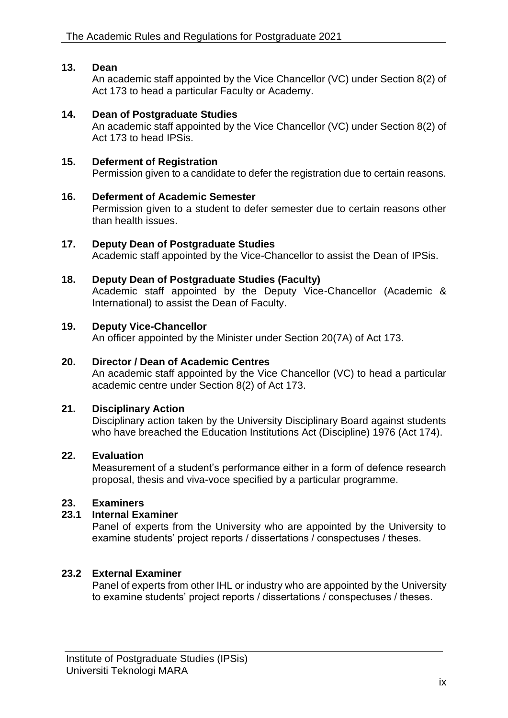### **13. Dean**

An academic staff appointed by the Vice Chancellor (VC) under Section 8(2) of Act 173 to head a particular Faculty or Academy.

### **14. Dean of Postgraduate Studies**

An academic staff appointed by the Vice Chancellor (VC) under Section 8(2) of Act 173 to head IPSis.

### **15. Deferment of Registration**

Permission given to a candidate to defer the registration due to certain reasons.

### **16. Deferment of Academic Semester**

Permission given to a student to defer semester due to certain reasons other than health issues.

### **17. Deputy Dean of Postgraduate Studies**

Academic staff appointed by the Vice-Chancellor to assist the Dean of IPSis.

### **18. Deputy Dean of Postgraduate Studies (Faculty)**

Academic staff appointed by the Deputy Vice-Chancellor (Academic & International) to assist the Dean of Faculty.

#### **19. Deputy Vice-Chancellor**

An officer appointed by the Minister under Section 20(7A) of Act 173.

### **20. Director / Dean of Academic Centres**

An academic staff appointed by the Vice Chancellor (VC) to head a particular academic centre under Section 8(2) of Act 173.

### **21. Disciplinary Action**

Disciplinary action taken by the University Disciplinary Board against students who have breached the Education Institutions Act (Discipline) 1976 (Act 174).

### **22. Evaluation**

Measurement of a student's performance either in a form of defence research proposal, thesis and viva-voce specified by a particular programme.

### **23. Examiners**

### **23.1 Internal Examiner**

Panel of experts from the University who are appointed by the University to examine students' project reports / dissertations / conspectuses / theses.

### **23.2 External Examiner**

Panel of experts from other IHL or industry who are appointed by the University to examine students' project reports / dissertations / conspectuses / theses.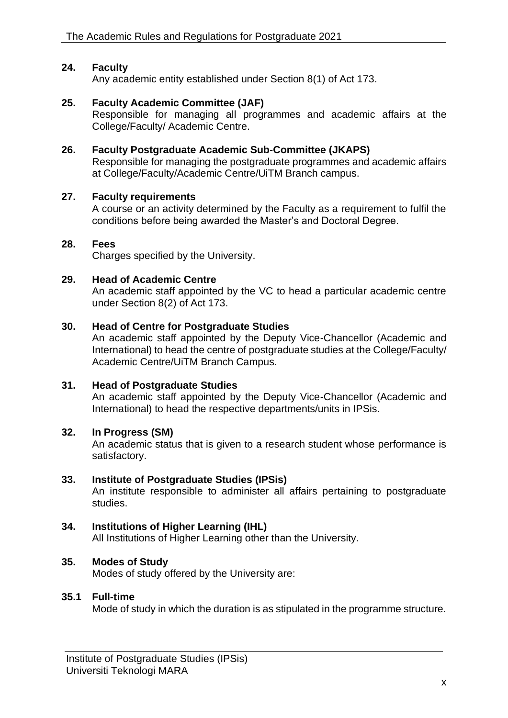### **24. Faculty**

Any academic entity established under Section 8(1) of Act 173.

### **25. Faculty Academic Committee (JAF)**

Responsible for managing all programmes and academic affairs at the College/Faculty/ Academic Centre.

### **26. Faculty Postgraduate Academic Sub-Committee (JKAPS)**

Responsible for managing the postgraduate programmes and academic affairs at College/Faculty/Academic Centre/UiTM Branch campus.

#### **27. Faculty requirements**

A course or an activity determined by the Faculty as a requirement to fulfil the conditions before being awarded the Master's and Doctoral Degree.

### **28. Fees**

Charges specified by the University.

#### **29. Head of Academic Centre**

An academic staff appointed by the VC to head a particular academic centre under Section 8(2) of Act 173.

#### **30. Head of Centre for Postgraduate Studies**

An academic staff appointed by the Deputy Vice-Chancellor (Academic and International) to head the centre of postgraduate studies at the College/Faculty/ Academic Centre/UiTM Branch Campus.

### **31. Head of Postgraduate Studies**

An academic staff appointed by the Deputy Vice-Chancellor (Academic and International) to head the respective departments/units in IPSis.

#### **32. In Progress (SM)**

An academic status that is given to a research student whose performance is satisfactory.

#### **33. Institute of Postgraduate Studies (IPSis)**

An institute responsible to administer all affairs pertaining to postgraduate studies.

### **34. Institutions of Higher Learning (IHL)**

All Institutions of Higher Learning other than the University.

### **35. Modes of Study**

Modes of study offered by the University are:

### **35.1 Full-time**

Mode of study in which the duration is as stipulated in the programme structure.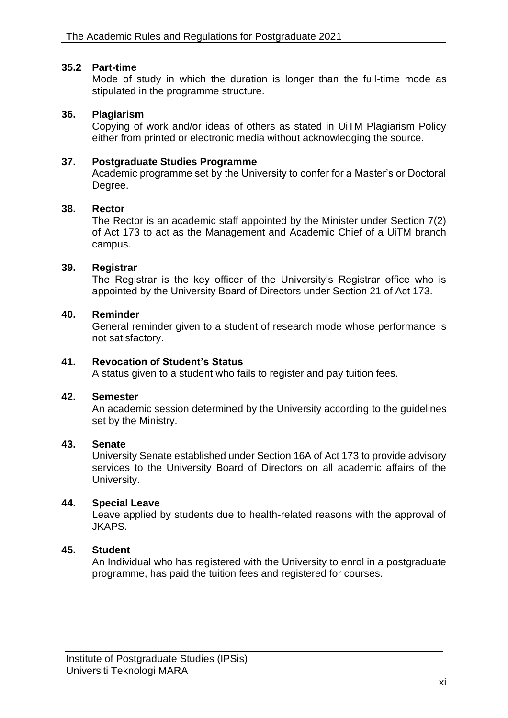### **35.2 Part-time**

Mode of study in which the duration is longer than the full-time mode as stipulated in the programme structure.

### **36. Plagiarism**

Copying of work and/or ideas of others as stated in UiTM Plagiarism Policy either from printed or electronic media without acknowledging the source.

### **37. Postgraduate Studies Programme**

Academic programme set by the University to confer for a Master's or Doctoral Degree.

### **38. Rector**

The Rector is an academic staff appointed by the Minister under Section 7(2) of Act 173 to act as the Management and Academic Chief of a UiTM branch campus.

### **39. Registrar**

The Registrar is the key officer of the University's Registrar office who is appointed by the University Board of Directors under Section 21 of Act 173.

### **40. Reminder**

General reminder given to a student of research mode whose performance is not satisfactory.

### **41. Revocation of Student's Status**

A status given to a student who fails to register and pay tuition fees.

### **42. Semester**

An academic session determined by the University according to the guidelines set by the Ministry.

### **43. Senate**

University Senate established under Section 16A of Act 173 to provide advisory services to the University Board of Directors on all academic affairs of the University.

### **44. Special Leave**

Leave applied by students due to health-related reasons with the approval of JKAPS.

# **45. Student**

An Individual who has registered with the University to enrol in a postgraduate programme, has paid the tuition fees and registered for courses.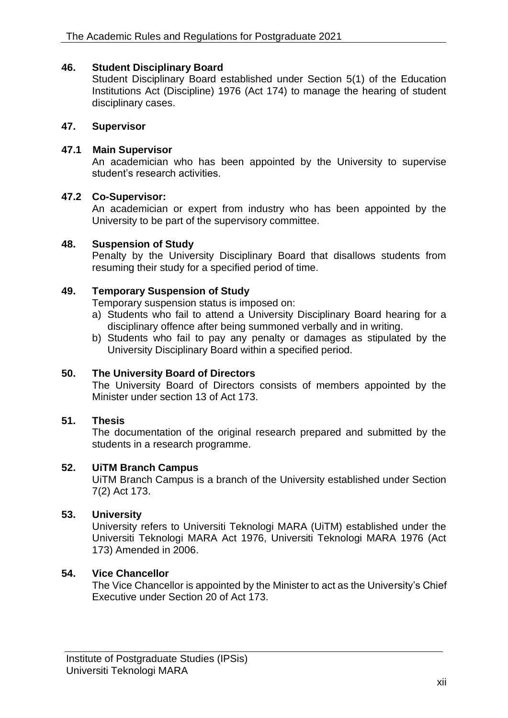### **46. Student Disciplinary Board**

Student Disciplinary Board established under Section 5(1) of the Education Institutions Act (Discipline) 1976 (Act 174) to manage the hearing of student disciplinary cases.

### **47. Supervisor**

### **47.1 Main Supervisor**

An academician who has been appointed by the University to supervise student's research activities.

### **47.2 Co-Supervisor:**

An academician or expert from industry who has been appointed by the University to be part of the supervisory committee.

### **48. Suspension of Study**

Penalty by the University Disciplinary Board that disallows students from resuming their study for a specified period of time.

### **49. Temporary Suspension of Study**

Temporary suspension status is imposed on:

- a) Students who fail to attend a University Disciplinary Board hearing for a disciplinary offence after being summoned verbally and in writing.
- b) Students who fail to pay any penalty or damages as stipulated by the University Disciplinary Board within a specified period.

# **50. The University Board of Directors**

The University Board of Directors consists of members appointed by the Minister under section 13 of Act 173.

### **51. Thesis**

The documentation of the original research prepared and submitted by the students in a research programme.

### **52. UiTM Branch Campus**

UiTM Branch Campus is a branch of the University established under Section 7(2) Act 173.

# **53. University**

University refers to Universiti Teknologi MARA (UiTM) established under the Universiti Teknologi MARA Act 1976, Universiti Teknologi MARA 1976 (Act 173) Amended in 2006.

# **54. Vice Chancellor**

The Vice Chancellor is appointed by the Minister to act as the University's Chief Executive under Section 20 of Act 173.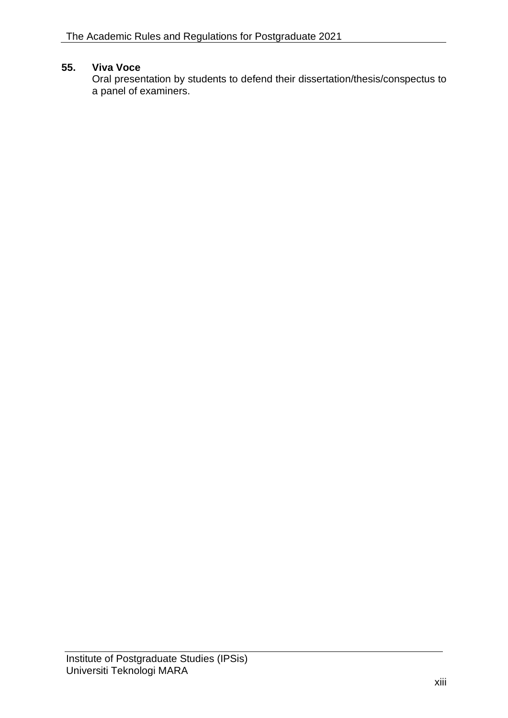# **55. Viva Voce**

Oral presentation by students to defend their dissertation/thesis/conspectus to a panel of examiners.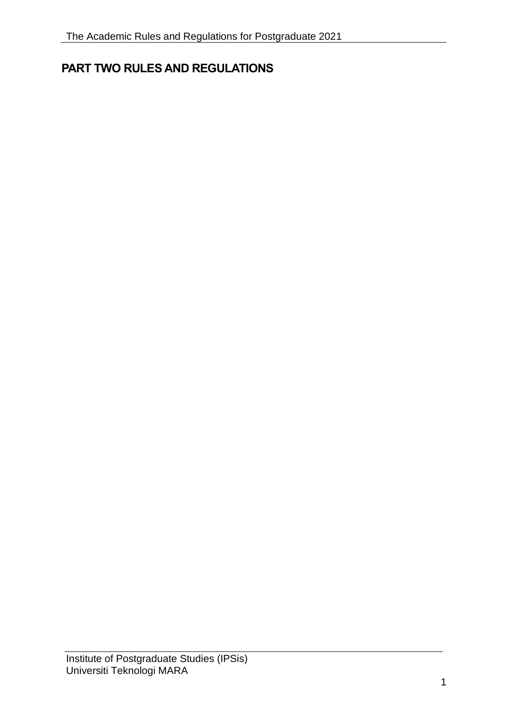# <span id="page-13-0"></span>**PART TWO RULES AND REGULATIONS**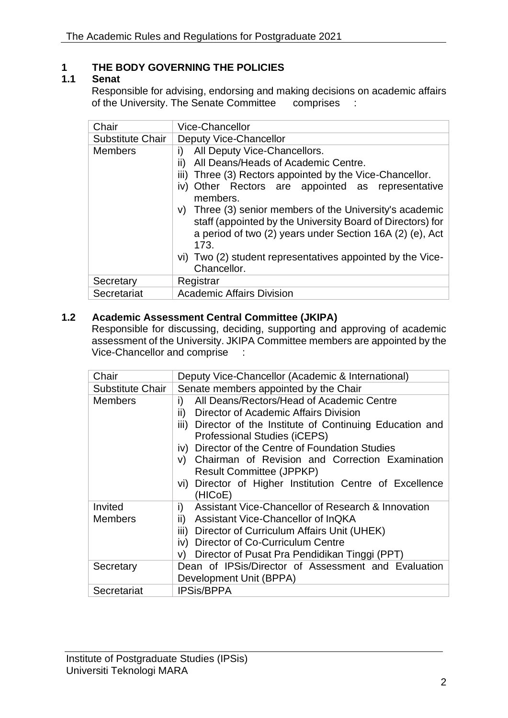# <span id="page-14-0"></span>**1 THE BODY GOVERNING THE POLICIES**

### <span id="page-14-1"></span>**1.1 Senat**

Responsible for advising, endorsing and making decisions on academic affairs of the University. The Senate Committee comprises :

| Chair            | Vice-Chancellor                                                                                                                                                                                                                                                                                                                                                                                                                                                                                      |  |  |  |
|------------------|------------------------------------------------------------------------------------------------------------------------------------------------------------------------------------------------------------------------------------------------------------------------------------------------------------------------------------------------------------------------------------------------------------------------------------------------------------------------------------------------------|--|--|--|
| Substitute Chair | Deputy Vice-Chancellor                                                                                                                                                                                                                                                                                                                                                                                                                                                                               |  |  |  |
| <b>Members</b>   | All Deputy Vice-Chancellors.<br>i)<br>All Deans/Heads of Academic Centre.<br>$\mathbf{H}$<br>iii) Three (3) Rectors appointed by the Vice-Chancellor.<br>Other Rectors are appointed as representative<br>IV)<br>members.<br>v) Three (3) senior members of the University's academic<br>staff (appointed by the University Board of Directors) for<br>a period of two (2) years under Section 16A (2) (e), Act<br>173.<br>vi) Two (2) student representatives appointed by the Vice-<br>Chancellor. |  |  |  |
| Secretary        | Registrar                                                                                                                                                                                                                                                                                                                                                                                                                                                                                            |  |  |  |
| Secretariat      | <b>Academic Affairs Division</b>                                                                                                                                                                                                                                                                                                                                                                                                                                                                     |  |  |  |

# <span id="page-14-2"></span>**1.2 Academic Assessment Central Committee (JKIPA)**

Responsible for discussing, deciding, supporting and approving of academic assessment of the University. JKIPA Committee members are appointed by the Vice-Chancellor and comprise :

| Chair                     | Deputy Vice-Chancellor (Academic & International)                                                                                                                                                                                                                                                                                                                                                                |  |  |  |
|---------------------------|------------------------------------------------------------------------------------------------------------------------------------------------------------------------------------------------------------------------------------------------------------------------------------------------------------------------------------------------------------------------------------------------------------------|--|--|--|
| Substitute Chair          | Senate members appointed by the Chair                                                                                                                                                                                                                                                                                                                                                                            |  |  |  |
| <b>Members</b>            | All Deans/Rectors/Head of Academic Centre<br>i)<br>Director of Academic Affairs Division<br>ii)<br>iii) Director of the Institute of Continuing Education and<br>Professional Studies (iCEPS)<br>iv) Director of the Centre of Foundation Studies<br>v) Chairman of Revision and Correction Examination<br><b>Result Committee (JPPKP)</b><br>vi) Director of Higher Institution Centre of Excellence<br>(HICoE) |  |  |  |
| Invited<br><b>Members</b> | Assistant Vice-Chancellor of Research & Innovation<br>i)<br>Assistant Vice-Chancellor of InQKA<br>ii)<br>Director of Curriculum Affairs Unit (UHEK)<br>iii)<br>iv) Director of Co-Curriculum Centre<br>Director of Pusat Pra Pendidikan Tinggi (PPT)<br>V).                                                                                                                                                      |  |  |  |
| Secretary                 | Dean of IPSis/Director of Assessment and Evaluation<br>Development Unit (BPPA)                                                                                                                                                                                                                                                                                                                                   |  |  |  |
| Secretariat               | <b>IPSis/BPPA</b>                                                                                                                                                                                                                                                                                                                                                                                                |  |  |  |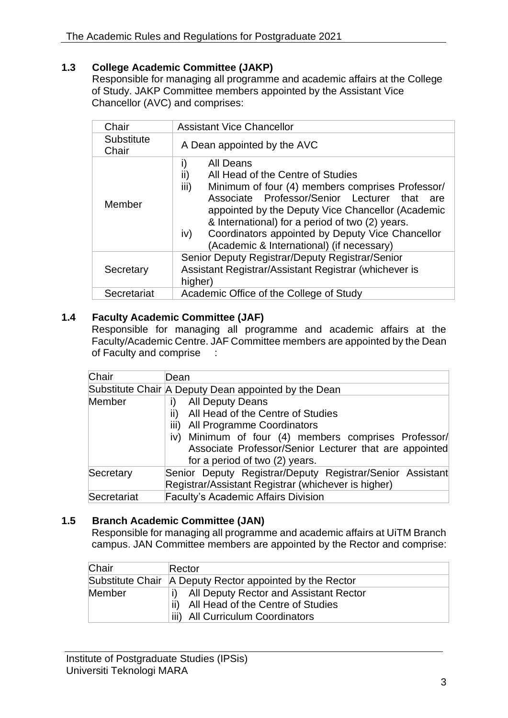# <span id="page-15-0"></span>**1.3 College Academic Committee (JAKP)**

Responsible for managing all programme and academic affairs at the College of Study. JAKP Committee members appointed by the Assistant Vice Chancellor (AVC) and comprises:

| Chair               | <b>Assistant Vice Chancellor</b>                                                                                                                                                                                                                                                                                                                                                           |  |  |
|---------------------|--------------------------------------------------------------------------------------------------------------------------------------------------------------------------------------------------------------------------------------------------------------------------------------------------------------------------------------------------------------------------------------------|--|--|
| Substitute<br>Chair | A Dean appointed by the AVC                                                                                                                                                                                                                                                                                                                                                                |  |  |
| Member              | i)<br>All Deans<br>ii)<br>All Head of the Centre of Studies<br>iii)<br>Minimum of four (4) members comprises Professor/<br>Associate Professor/Senior Lecturer that<br>are<br>appointed by the Deputy Vice Chancellor (Academic<br>& International) for a period of two (2) years.<br>Coordinators appointed by Deputy Vice Chancellor<br>iv)<br>(Academic & International) (if necessary) |  |  |
| Secretary           | Senior Deputy Registrar/Deputy Registrar/Senior<br>Assistant Registrar/Assistant Registrar (whichever is<br>higher)                                                                                                                                                                                                                                                                        |  |  |
| Secretariat         | Academic Office of the College of Study                                                                                                                                                                                                                                                                                                                                                    |  |  |
|                     |                                                                                                                                                                                                                                                                                                                                                                                            |  |  |

# <span id="page-15-1"></span>**1.4 Faculty Academic Committee (JAF)**

Responsible for managing all programme and academic affairs at the Faculty/Academic Centre. JAF Committee members are appointed by the Dean of Faculty and comprise :

| Chair       | Dean                                                      |  |  |  |
|-------------|-----------------------------------------------------------|--|--|--|
|             | Substitute Chair A Deputy Dean appointed by the Dean      |  |  |  |
| Member      | <b>All Deputy Deans</b>                                   |  |  |  |
|             | All Head of the Centre of Studies<br>ii)                  |  |  |  |
|             | iii)<br>All Programme Coordinators                        |  |  |  |
|             | iv) Minimum of four (4) members comprises Professor/      |  |  |  |
|             | Associate Professor/Senior Lecturer that are appointed    |  |  |  |
|             | for a period of two (2) years.                            |  |  |  |
| Secretary   | Senior Deputy Registrar/Deputy Registrar/Senior Assistant |  |  |  |
|             | Registrar/Assistant Registrar (whichever is higher)       |  |  |  |
| Secretariat | <b>Faculty's Academic Affairs Division</b>                |  |  |  |

# <span id="page-15-2"></span>**1.5 Branch Academic Committee (JAN)**

Responsible for managing all programme and academic affairs at UiTM Branch campus. JAN Committee members are appointed by the Rector and comprise:

| Chair  | Rector                                                   |  |  |  |
|--------|----------------------------------------------------------|--|--|--|
|        | Substitute Chair A Deputy Rector appointed by the Rector |  |  |  |
| Member | All Deputy Rector and Assistant Rector                   |  |  |  |
|        | ii)<br>All Head of the Centre of Studies                 |  |  |  |
|        | iii) All Curriculum Coordinators                         |  |  |  |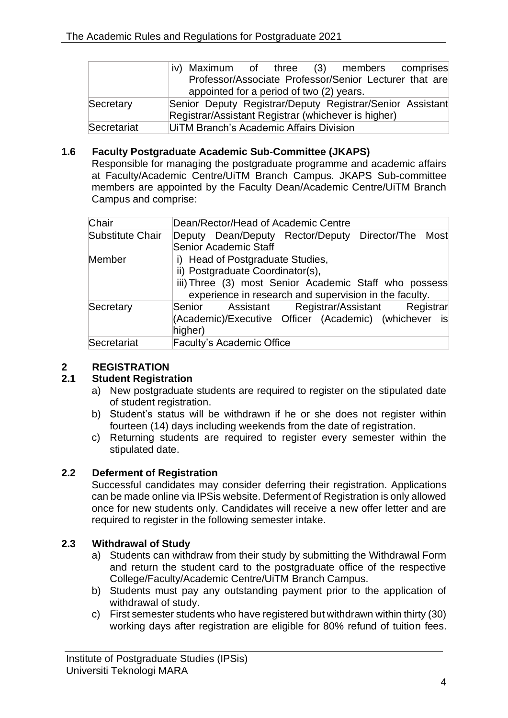|             | iv) Maximum of three (3) members comprises                |  |  |  |
|-------------|-----------------------------------------------------------|--|--|--|
|             | Professor/Associate Professor/Senior Lecturer that are    |  |  |  |
|             | appointed for a period of two (2) years.                  |  |  |  |
| Secretary   | Senior Deputy Registrar/Deputy Registrar/Senior Assistant |  |  |  |
|             | Registrar/Assistant Registrar (whichever is higher)       |  |  |  |
| Secretariat | UITM Branch's Academic Affairs Division                   |  |  |  |

# <span id="page-16-0"></span>**1.6 Faculty Postgraduate Academic Sub-Committee (JKAPS)**

Responsible for managing the postgraduate programme and academic affairs at Faculty/Academic Centre/UiTM Branch Campus. JKAPS Sub-committee members are appointed by the Faculty Dean/Academic Centre/UiTM Branch Campus and comprise:

| Chair            | Dean/Rector/Head of Academic Centre                                                                                                                                                     |  |  |  |  |
|------------------|-----------------------------------------------------------------------------------------------------------------------------------------------------------------------------------------|--|--|--|--|
| Substitute Chair | Deputy Dean/Deputy Rector/Deputy Director/The Most<br>Senior Academic Staff                                                                                                             |  |  |  |  |
| Member           | i) Head of Postgraduate Studies,<br>ii) Postgraduate Coordinator(s),<br>iii) Three (3) most Senior Academic Staff who possess<br>experience in research and supervision in the faculty. |  |  |  |  |
| Secretary        | Assistant Registrar/Assistant<br>Registrar<br>Senior<br>(Academic)/Executive Officer (Academic) (whichever is<br>higher)                                                                |  |  |  |  |
| Secretariat      | <b>Faculty's Academic Office</b>                                                                                                                                                        |  |  |  |  |

# <span id="page-16-1"></span>**2 REGISTRATION**

# <span id="page-16-2"></span>**2.1 Student Registration**

- a) New postgraduate students are required to register on the stipulated date of student registration.
- b) Student's status will be withdrawn if he or she does not register within fourteen (14) days including weekends from the date of registration.
- c) Returning students are required to register every semester within the stipulated date.

# <span id="page-16-3"></span>**2.2 Deferment of Registration**

Successful candidates may consider deferring their registration. Applications can be made online via IPSis website. Deferment of Registration is only allowed once for new students only. Candidates will receive a new offer letter and are required to register in the following semester intake.

# <span id="page-16-4"></span>**2.3 Withdrawal of Study**

- a) Students can withdraw from their study by submitting the Withdrawal Form and return the student card to the postgraduate office of the respective College/Faculty/Academic Centre/UiTM Branch Campus.
- b) Students must pay any outstanding payment prior to the application of withdrawal of study.
- c) First semester students who have registered but withdrawn within thirty (30) working days after registration are eligible for 80% refund of tuition fees.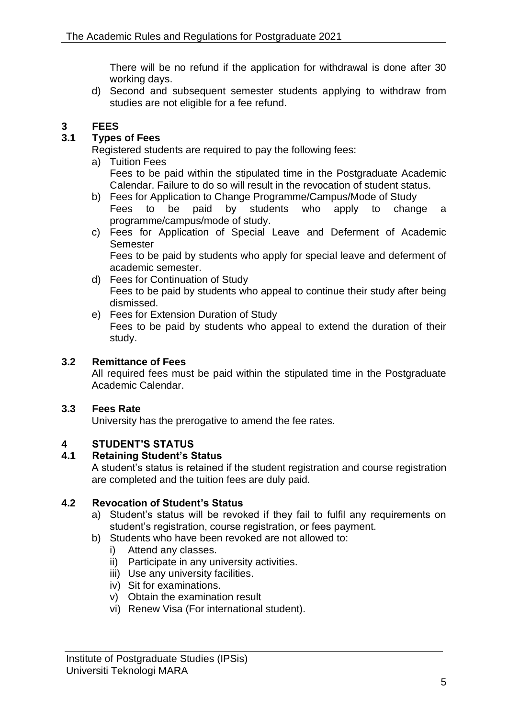There will be no refund if the application for withdrawal is done after 30 working days.

d) Second and subsequent semester students applying to withdraw from studies are not eligible for a fee refund.

# <span id="page-17-0"></span>**3 FEES**

# <span id="page-17-1"></span>**3.1 Types of Fees**

Registered students are required to pay the following fees:

- a) Tuition Fees Fees to be paid within the stipulated time in the Postgraduate Academic Calendar. Failure to do so will result in the revocation of student status.
- b) Fees for Application to Change Programme/Campus/Mode of Study Fees to be paid by students who apply to change a programme/campus/mode of study.
- c) Fees for Application of Special Leave and Deferment of Academic **Semester** Fees to be paid by students who apply for special leave and deferment of academic semester.
- d) Fees for Continuation of Study Fees to be paid by students who appeal to continue their study after being dismissed.
- e) Fees for Extension Duration of Study Fees to be paid by students who appeal to extend the duration of their study.

# <span id="page-17-2"></span>**3.2 Remittance of Fees**

All required fees must be paid within the stipulated time in the Postgraduate Academic Calendar.

# <span id="page-17-3"></span>**3.3 Fees Rate**

University has the prerogative to amend the fee rates.

# <span id="page-17-4"></span>**4 STUDENT'S STATUS**

# <span id="page-17-5"></span>**4.1 Retaining Student's Status**

A student's status is retained if the student registration and course registration are completed and the tuition fees are duly paid.

# <span id="page-17-6"></span>**4.2 Revocation of Student's Status**

- a) Student's status will be revoked if they fail to fulfil any requirements on student's registration, course registration, or fees payment.
- b) Students who have been revoked are not allowed to:
	- i) Attend any classes.
	- ii) Participate in any university activities.
	- iii) Use any university facilities.
	- iv) Sit for examinations.
	- v) Obtain the examination result
	- vi) Renew Visa (For international student).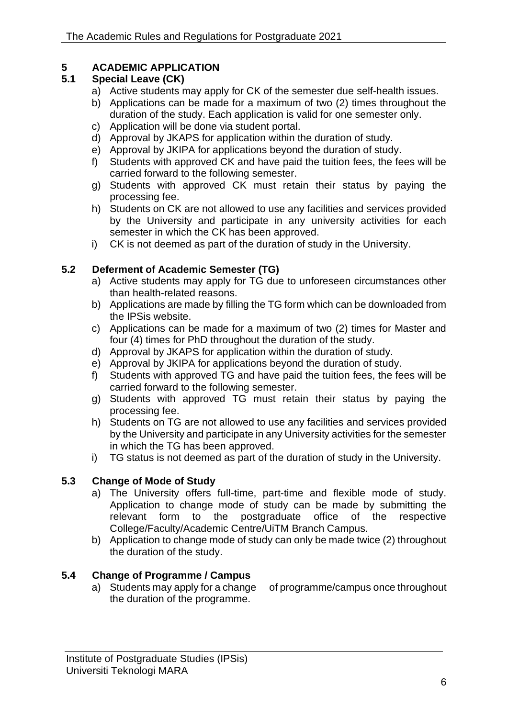# <span id="page-18-0"></span>**5 ACADEMIC APPLICATION**

# <span id="page-18-1"></span>**5.1 Special Leave (CK)**

- a) Active students may apply for CK of the semester due self-health issues.
- b) Applications can be made for a maximum of two (2) times throughout the duration of the study. Each application is valid for one semester only.
- c) Application will be done via student portal.
- d) Approval by JKAPS for application within the duration of study.
- e) Approval by JKIPA for applications beyond the duration of study.
- f) Students with approved CK and have paid the tuition fees, the fees will be carried forward to the following semester.
- g) Students with approved CK must retain their status by paying the processing fee.
- h) Students on CK are not allowed to use any facilities and services provided by the University and participate in any university activities for each semester in which the CK has been approved.
- i) CK is not deemed as part of the duration of study in the University.

# <span id="page-18-2"></span>**5.2 Deferment of Academic Semester (TG)**

- a) Active students may apply for TG due to unforeseen circumstances other than health-related reasons.
- b) Applications are made by filling the TG form which can be downloaded from the IPSis website.
- c) Applications can be made for a maximum of two (2) times for Master and four (4) times for PhD throughout the duration of the study.
- d) Approval by JKAPS for application within the duration of study.
- e) Approval by JKIPA for applications beyond the duration of study.
- f) Students with approved TG and have paid the tuition fees, the fees will be carried forward to the following semester.
- g) Students with approved TG must retain their status by paying the processing fee.
- h) Students on TG are not allowed to use any facilities and services provided by the University and participate in any University activities for the semester in which the TG has been approved.
- i) TG status is not deemed as part of the duration of study in the University.

# <span id="page-18-3"></span>**5.3 Change of Mode of Study**

- a) The University offers full-time, part-time and flexible mode of study. Application to change mode of study can be made by submitting the relevant form to the postgraduate office of the respective College/Faculty/Academic Centre/UiTM Branch Campus.
- b) Application to change mode of study can only be made twice (2) throughout the duration of the study.

# <span id="page-18-4"></span>**5.4 Change of Programme / Campus**

a) Students may apply for a change of programme/campus once throughout the duration of the programme.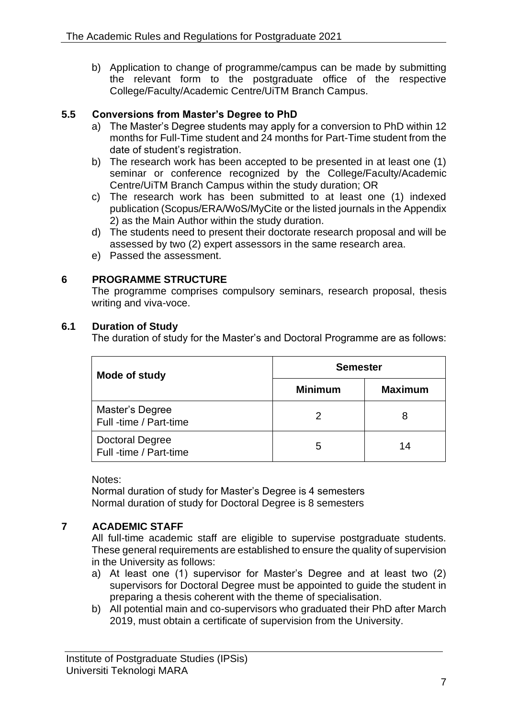b) Application to change of programme/campus can be made by submitting the relevant form to the postgraduate office of the respective College/Faculty/Academic Centre/UiTM Branch Campus.

# <span id="page-19-0"></span>**5.5 Conversions from Master's Degree to PhD**

- a) The Master's Degree students may apply for a conversion to PhD within 12 months for Full-Time student and 24 months for Part-Time student from the date of student's registration.
- b) The research work has been accepted to be presented in at least one (1) seminar or conference recognized by the College/Faculty/Academic Centre/UiTM Branch Campus within the study duration; OR
- c) The research work has been submitted to at least one (1) indexed publication (Scopus/ERA/WoS/MyCite or the listed journals in the Appendix 2) as the Main Author within the study duration.
- d) The students need to present their doctorate research proposal and will be assessed by two (2) expert assessors in the same research area.
- e) Passed the assessment.

# <span id="page-19-1"></span>**6 PROGRAMME STRUCTURE**

The programme comprises compulsory seminars, research proposal, thesis writing and viva-voce.

### <span id="page-19-2"></span>**6.1 Duration of Study**

The duration of study for the Master's and Doctoral Programme are as follows:

| Mode of study                                    | <b>Semester</b> |                |
|--------------------------------------------------|-----------------|----------------|
|                                                  | <b>Minimum</b>  | <b>Maximum</b> |
| Master's Degree<br>Full -time / Part-time        |                 | 8              |
| <b>Doctoral Degree</b><br>Full -time / Part-time | 5               | 14             |

### Notes:

Normal duration of study for Master's Degree is 4 semesters Normal duration of study for Doctoral Degree is 8 semesters

# <span id="page-19-3"></span>**7 ACADEMIC STAFF**

All full-time academic staff are eligible to supervise postgraduate students. These general requirements are established to ensure the quality of supervision in the University as follows:

- a) At least one (1) supervisor for Master's Degree and at least two (2) supervisors for Doctoral Degree must be appointed to guide the student in preparing a thesis coherent with the theme of specialisation.
- b) All potential main and co-supervisors who graduated their PhD after March 2019, must obtain a certificate of supervision from the University.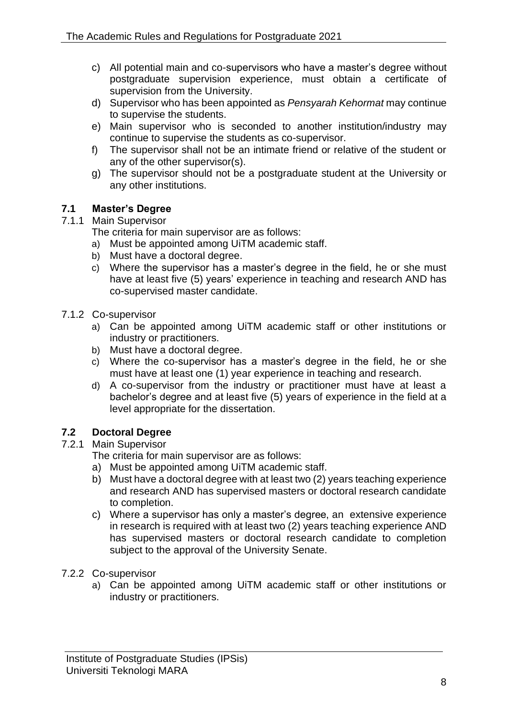- c) All potential main and co-supervisors who have a master's degree without postgraduate supervision experience, must obtain a certificate of supervision from the University.
- d) Supervisor who has been appointed as *Pensyarah Kehormat* may continue to supervise the students.
- e) Main supervisor who is seconded to another institution/industry may continue to supervise the students as co-supervisor.
- f) The supervisor shall not be an intimate friend or relative of the student or any of the other supervisor(s).
- g) The supervisor should not be a postgraduate student at the University or any other institutions.

# <span id="page-20-0"></span>**7.1 Master's Degree**

# <span id="page-20-1"></span>7.1.1 Main Supervisor

The criteria for main supervisor are as follows:

- a) Must be appointed among UiTM academic staff.
- b) Must have a doctoral degree.
- c) Where the supervisor has a master's degree in the field, he or she must have at least five (5) years' experience in teaching and research AND has co-supervised master candidate.
- <span id="page-20-2"></span>7.1.2 Co-supervisor
	- a) Can be appointed among UiTM academic staff or other institutions or industry or practitioners.
	- b) Must have a doctoral degree.
	- c) Where the co-supervisor has a master's degree in the field, he or she must have at least one (1) year experience in teaching and research.
	- d) A co-supervisor from the industry or practitioner must have at least a bachelor's degree and at least five (5) years of experience in the field at a level appropriate for the dissertation.

# <span id="page-20-3"></span>**7.2 Doctoral Degree**

# <span id="page-20-4"></span>7.2.1 Main Supervisor

The criteria for main supervisor are as follows:

- a) Must be appointed among UiTM academic staff.
- b) Must have a doctoral degree with at least two (2) years teaching experience and research AND has supervised masters or doctoral research candidate to completion.
- c) Where a supervisor has only a master's degree, an extensive experience in research is required with at least two (2) years teaching experience AND has supervised masters or doctoral research candidate to completion subject to the approval of the University Senate.
- <span id="page-20-5"></span>7.2.2 Co-supervisor
	- a) Can be appointed among UiTM academic staff or other institutions or industry or practitioners.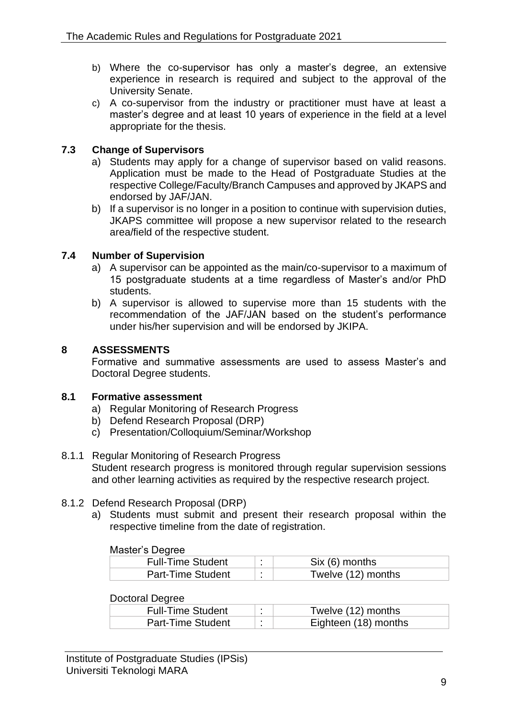- b) Where the co-supervisor has only a master's degree, an extensive experience in research is required and subject to the approval of the University Senate.
- c) A co-supervisor from the industry or practitioner must have at least a master's degree and at least 10 years of experience in the field at a level appropriate for the thesis.

# <span id="page-21-0"></span>**7.3 Change of Supervisors**

- a) Students may apply for a change of supervisor based on valid reasons. Application must be made to the Head of Postgraduate Studies at the respective College/Faculty/Branch Campuses and approved by JKAPS and endorsed by JAF/JAN.
- b) If a supervisor is no longer in a position to continue with supervision duties, JKAPS committee will propose a new supervisor related to the research area/field of the respective student.

# <span id="page-21-1"></span>**7.4 Number of Supervision**

- a) A supervisor can be appointed as the main/co-supervisor to a maximum of 15 postgraduate students at a time regardless of Master's and/or PhD students.
- b) A supervisor is allowed to supervise more than 15 students with the recommendation of the JAF/JAN based on the student's performance under his/her supervision and will be endorsed by JKIPA.

# <span id="page-21-2"></span>**8 ASSESSMENTS**

Formative and summative assessments are used to assess Master's and Doctoral Degree students.

# <span id="page-21-3"></span>**8.1 Formative assessment**

- a) Regular Monitoring of Research Progress
- b) Defend Research Proposal (DRP)
- c) Presentation/Colloquium/Seminar/Workshop
- <span id="page-21-4"></span>8.1.1 Regular Monitoring of Research Progress Student research progress is monitored through regular supervision sessions and other learning activities as required by the respective research project.

# <span id="page-21-5"></span>8.1.2 Defend Research Proposal (DRP)

a) Students must submit and present their research proposal within the respective timeline from the date of registration.

# Master's Degree

| <b>Full-Time Student</b> |  | Six (6) months     |  |  |  |
|--------------------------|--|--------------------|--|--|--|
| Part-Time Student        |  | Twelve (12) months |  |  |  |

### Doctoral Degree

| <b>Full-Time Student</b> | Twelve (12) months   |
|--------------------------|----------------------|
| Part-Time Student        | Eighteen (18) months |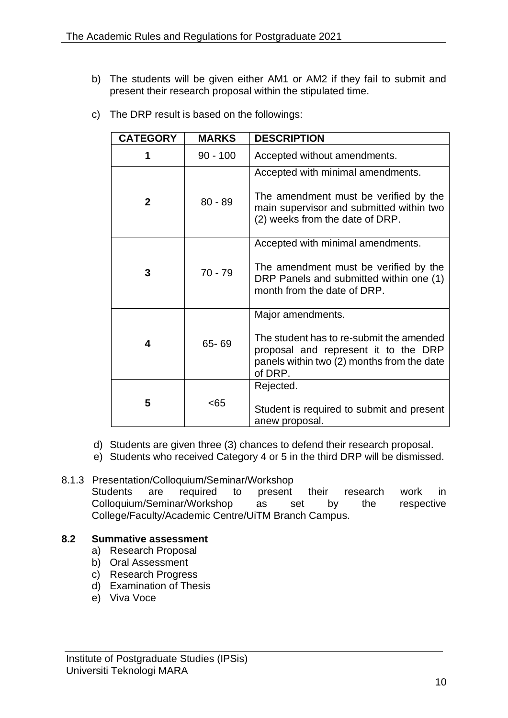b) The students will be given either AM1 or AM2 if they fail to submit and present their research proposal within the stipulated time.

| <b>CATEGORY</b>       | <b>MARKS</b> | <b>DESCRIPTION</b>                                                                                                                                        |  |  |
|-----------------------|--------------|-----------------------------------------------------------------------------------------------------------------------------------------------------------|--|--|
| 1                     | $90 - 100$   | Accepted without amendments.                                                                                                                              |  |  |
| $\mathbf{2}$          | $80 - 89$    | Accepted with minimal amendments.<br>The amendment must be verified by the<br>main supervisor and submitted within two<br>(2) weeks from the date of DRP. |  |  |
| 3                     | $70 - 79$    | Accepted with minimal amendments.<br>The amendment must be verified by the<br>DRP Panels and submitted within one (1)<br>month from the date of DRP.      |  |  |
| 65-69<br>4<br>of DRP. |              | Major amendments.<br>The student has to re-submit the amended<br>proposal and represent it to the DRP<br>panels within two (2) months from the date       |  |  |
| 5                     | < 65         | Rejected.<br>Student is required to submit and present<br>anew proposal.                                                                                  |  |  |

c) The DRP result is based on the followings:

- d) Students are given three (3) chances to defend their research proposal.
- e) Students who received Category 4 or 5 in the third DRP will be dismissed.

### <span id="page-22-0"></span>8.1.3 Presentation/Colloquium/Seminar/Workshop Students are required to present their research work in Colloquium/Seminar/Workshop as set by the respective College/Faculty/Academic Centre/UiTM Branch Campus.

# <span id="page-22-1"></span>**8.2 Summative assessment**

- a) Research Proposal
- b) Oral Assessment
- c) Research Progress
- d) Examination of Thesis
- e) Viva Voce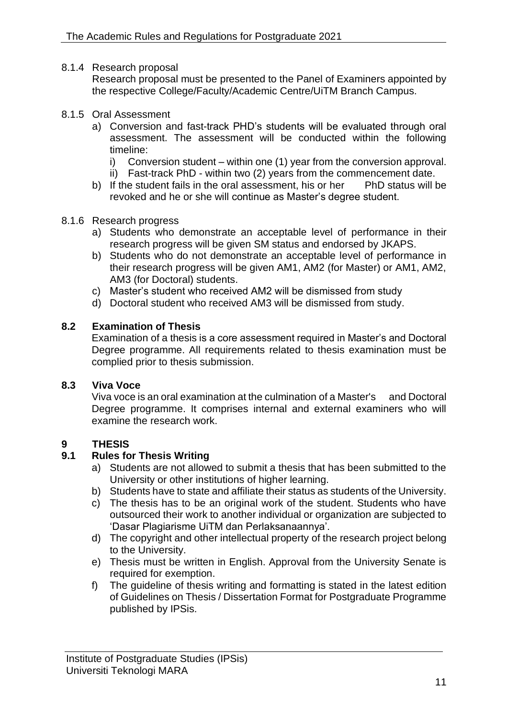<span id="page-23-0"></span>8.1.4 Research proposal

Research proposal must be presented to the Panel of Examiners appointed by the respective College/Faculty/Academic Centre/UiTM Branch Campus.

### <span id="page-23-1"></span>8.1.5 Oral Assessment

- a) Conversion and fast-track PHD's students will be evaluated through oral assessment. The assessment will be conducted within the following timeline:
	- i) Conversion student within one (1) year from the conversion approval.
	- ii) Fast-track PhD within two (2) years from the commencement date.
- b) If the student fails in the oral assessment, his or her PhD status will be revoked and he or she will continue as Master's degree student.

### <span id="page-23-2"></span>8.1.6 Research progress

- a) Students who demonstrate an acceptable level of performance in their research progress will be given SM status and endorsed by JKAPS.
- b) Students who do not demonstrate an acceptable level of performance in their research progress will be given AM1, AM2 (for Master) or AM1, AM2, AM3 (for Doctoral) students.
- c) Master's student who received AM2 will be dismissed from study
- d) Doctoral student who received AM3 will be dismissed from study.

### <span id="page-23-3"></span>**8.2 Examination of Thesis**

Examination of a thesis is a core assessment required in Master's and Doctoral Degree programme. All requirements related to thesis examination must be complied prior to thesis submission.

### <span id="page-23-4"></span>**8.3 Viva Voce**

Viva voce is an oral examination at the culmination of a Master's and Doctoral Degree programme. It comprises internal and external examiners who will examine the research work.

# <span id="page-23-5"></span>**9 THESIS**

# <span id="page-23-6"></span>**9.1 Rules for Thesis Writing**

- a) Students are not allowed to submit a thesis that has been submitted to the University or other institutions of higher learning.
- b) Students have to state and affiliate their status as students of the University.
- $\overrightarrow{c}$ ) The thesis has to be an original work of the student. Students who have outsourced their work to another individual or organization are subjected to 'Dasar Plagiarisme UiTM dan Perlaksanaannya'.
- d) The copyright and other intellectual property of the research project belong to the University.
- e) Thesis must be written in English. Approval from the University Senate is required for exemption.
- f) The guideline of thesis writing and formatting is stated in the latest edition of Guidelines on Thesis / Dissertation Format for Postgraduate Programme published by IPSis.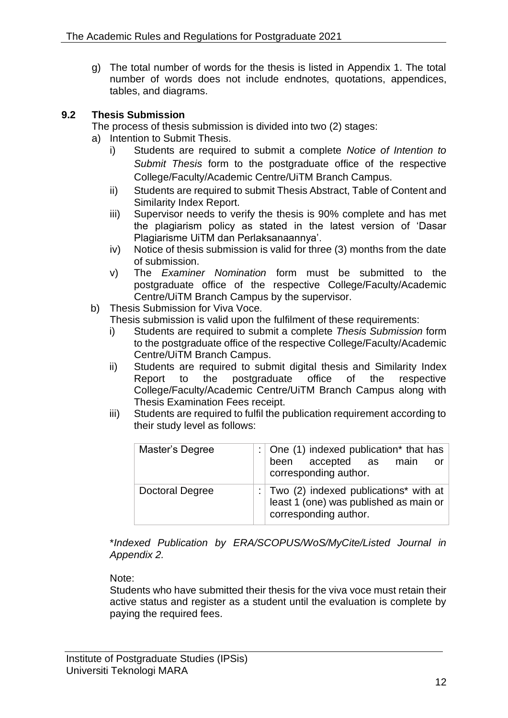g) The total number of words for the thesis is listed in Appendix 1. The total number of words does not include endnotes, quotations, appendices, tables, and diagrams.

# <span id="page-24-0"></span>**9.2 Thesis Submission**

The process of thesis submission is divided into two (2) stages:

- a) Intention to Submit Thesis.
	- i) Students are required to submit a complete *Notice of Intention to Submit Thesis* form to the postgraduate office of the respective College/Faculty/Academic Centre/UiTM Branch Campus.
	- ii) Students are required to submit Thesis Abstract, Table of Content and Similarity Index Report.
	- iii) Supervisor needs to verify the thesis is 90% complete and has met the plagiarism policy as stated in the latest version of 'Dasar Plagiarisme UiTM dan Perlaksanaannya'.
	- iv) Notice of thesis submission is valid for three (3) months from the date of submission.
	- v) The *Examiner Nomination* form must be submitted to the postgraduate office of the respective College/Faculty/Academic Centre/UiTM Branch Campus by the supervisor.
- b) Thesis Submission for Viva Voce*.*

Thesis submission is valid upon the fulfilment of these requirements:

- i) Students are required to submit a complete *Thesis Submission* form to the postgraduate office of the respective College/Faculty/Academic Centre/UiTM Branch Campus.
- ii) Students are required to submit digital thesis and Similarity Index Report to the postgraduate office of the respective College/Faculty/Academic Centre/UiTM Branch Campus along with Thesis Examination Fees receipt.
- iii) Students are required to fulfil the publication requirement according to their study level as follows:

| Master's Degree        | : $\vert$ One (1) indexed publication* that has<br>been accepted as main<br>or <sub>1</sub><br>corresponding author.       |  |  |  |
|------------------------|----------------------------------------------------------------------------------------------------------------------------|--|--|--|
| <b>Doctoral Degree</b> | : $\vert$ Two (2) indexed publications* with at $\vert$<br>least 1 (one) was published as main or<br>corresponding author. |  |  |  |

\**Indexed Publication by ERA/SCOPUS/WoS/MyCite/Listed Journal in Appendix 2.* 

# Note:

Students who have submitted their thesis for the viva voce must retain their active status and register as a student until the evaluation is complete by paying the required fees.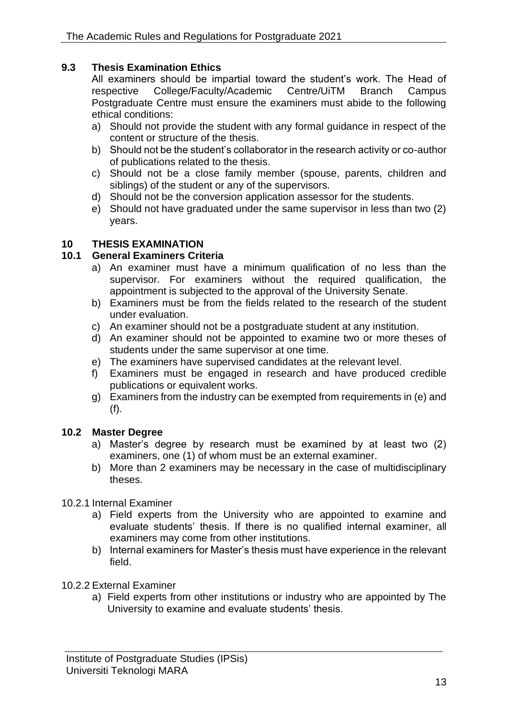# <span id="page-25-0"></span>**9.3 Thesis Examination Ethics**

All examiners should be impartial toward the student's work. The Head of respective College/Faculty/Academic Centre/UiTM Branch Campus Postgraduate Centre must ensure the examiners must abide to the following ethical conditions:

- a) Should not provide the student with any formal guidance in respect of the content or structure of the thesis.
- b) Should not be the student's collaborator in the research activity or co-author of publications related to the thesis.
- c) Should not be a close family member (spouse, parents, children and siblings) of the student or any of the supervisors.
- d) Should not be the conversion application assessor for the students.
- e) Should not have graduated under the same supervisor in less than two (2) years.

# <span id="page-25-1"></span>**10 THESIS EXAMINATION**

# <span id="page-25-2"></span>**10.1 General Examiners Criteria**

- a) An examiner must have a minimum qualification of no less than the supervisor. For examiners without the required qualification, the appointment is subjected to the approval of the University Senate.
- b) Examiners must be from the fields related to the research of the student under evaluation.
- c) An examiner should not be a postgraduate student at any institution.
- d) An examiner should not be appointed to examine two or more theses of students under the same supervisor at one time.
- e) The examiners have supervised candidates at the relevant level.
- f) Examiners must be engaged in research and have produced credible publications or equivalent works.
- g) Examiners from the industry can be exempted from requirements in (e) and (f).

### <span id="page-25-3"></span>**10.2 Master Degree**

- a) Master's degree by research must be examined by at least two (2) examiners, one (1) of whom must be an external examiner.
- b) More than 2 examiners may be necessary in the case of multidisciplinary theses.

# <span id="page-25-4"></span>10.2.1 Internal Examiner

- a) Field experts from the University who are appointed to examine and evaluate students' thesis. If there is no qualified internal examiner, all examiners may come from other institutions.
- b) Internal examiners for Master's thesis must have experience in the relevant field.
- <span id="page-25-5"></span>10.2.2 External Examiner
	- a) Field experts from other institutions or industry who are appointed by The University to examine and evaluate students' thesis.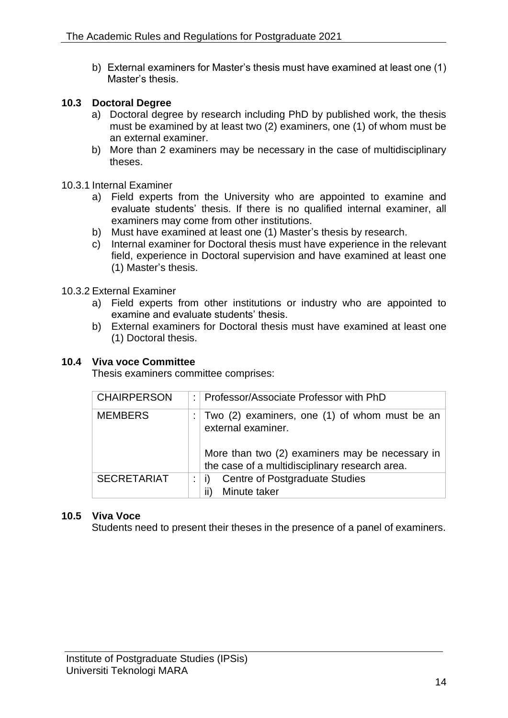b) External examiners for Master's thesis must have examined at least one (1) Master's thesis.

# <span id="page-26-0"></span>**10.3 Doctoral Degree**

- a) Doctoral degree by research including PhD by published work, the thesis must be examined by at least two (2) examiners, one (1) of whom must be an external examiner.
- b) More than 2 examiners may be necessary in the case of multidisciplinary theses.

# <span id="page-26-1"></span>10.3.1 Internal Examiner

- a) Field experts from the University who are appointed to examine and evaluate students' thesis. If there is no qualified internal examiner, all examiners may come from other institutions.
- b) Must have examined at least one (1) Master's thesis by research.
- c) Internal examiner for Doctoral thesis must have experience in the relevant field, experience in Doctoral supervision and have examined at least one (1) Master's thesis.

# <span id="page-26-2"></span>10.3.2 External Examiner

- a) Field experts from other institutions or industry who are appointed to examine and evaluate students' thesis.
- b) External examiners for Doctoral thesis must have examined at least one (1) Doctoral thesis.

# <span id="page-26-3"></span>**10.4 Viva voce Committee**

Thesis examiners committee comprises:

| <b>CHAIRPERSON</b> | Professor/Associate Professor with PhD                                                            |
|--------------------|---------------------------------------------------------------------------------------------------|
| <b>MEMBERS</b>     | Two (2) examiners, one (1) of whom must be an<br>external examiner.                               |
|                    | More than two (2) examiners may be necessary in<br>the case of a multidisciplinary research area. |
| <b>SECRETARIAT</b> | <b>Centre of Postgraduate Studies</b><br>Minute taker<br>II)                                      |

# <span id="page-26-4"></span>**10.5 Viva Voce**

Students need to present their theses in the presence of a panel of examiners.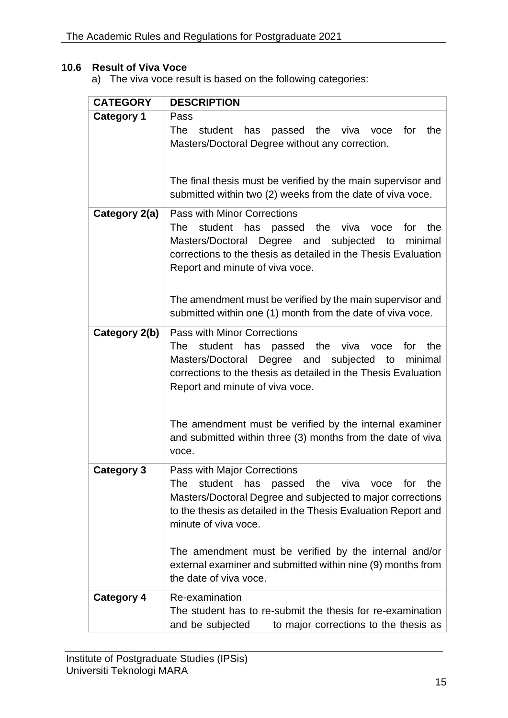# <span id="page-27-0"></span>**10.6 Result of Viva Voce**

a) The viva voce result is based on the following categories:

| <b>CATEGORY</b>   | <b>DESCRIPTION</b>                                                                                                                                                                                                                                                                                                                                                                                |
|-------------------|---------------------------------------------------------------------------------------------------------------------------------------------------------------------------------------------------------------------------------------------------------------------------------------------------------------------------------------------------------------------------------------------------|
| <b>Category 1</b> | Pass<br>The<br>has passed the viva<br>student<br>for<br>the<br>voce<br>Masters/Doctoral Degree without any correction.                                                                                                                                                                                                                                                                            |
|                   | The final thesis must be verified by the main supervisor and<br>submitted within two (2) weeks from the date of viva voce.                                                                                                                                                                                                                                                                        |
| Category 2(a)     | <b>Pass with Minor Corrections</b><br>student has passed the viva voce<br>The<br>the<br>for<br>Masters/Doctoral Degree and subjected<br>to<br>minimal<br>corrections to the thesis as detailed in the Thesis Evaluation<br>Report and minute of viva voce.<br>The amendment must be verified by the main supervisor and                                                                           |
|                   | submitted within one (1) month from the date of viva voce.                                                                                                                                                                                                                                                                                                                                        |
| Category 2(b)     | <b>Pass with Minor Corrections</b><br>student has passed the viva<br>for<br>the<br><b>The</b><br>voce<br>Masters/Doctoral Degree and subjected to minimal<br>corrections to the thesis as detailed in the Thesis Evaluation<br>Report and minute of viva voce.<br>The amendment must be verified by the internal examiner<br>and submitted within three (3) months from the date of viva<br>voce. |
| <b>Category 3</b> | Pass with Major Corrections<br>passed the viva<br>student has<br>the<br>The<br>voce for<br>Masters/Doctoral Degree and subjected to major corrections<br>to the thesis as detailed in the Thesis Evaluation Report and<br>minute of viva voce.<br>The amendment must be verified by the internal and/or<br>external examiner and submitted within nine (9) months from<br>the date of viva voce.  |
| <b>Category 4</b> | Re-examination<br>The student has to re-submit the thesis for re-examination<br>and be subjected<br>to major corrections to the thesis as                                                                                                                                                                                                                                                         |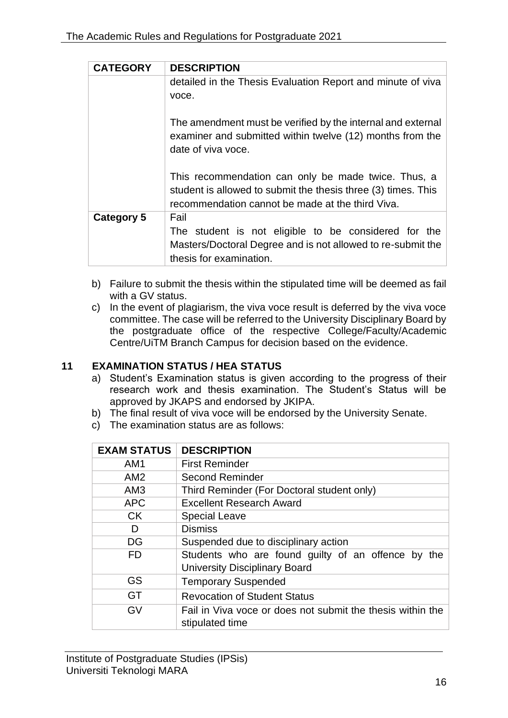| <b>CATEGORY</b> | <b>DESCRIPTION</b>                                                                                                                                                       |  |  |  |  |  |  |  |
|-----------------|--------------------------------------------------------------------------------------------------------------------------------------------------------------------------|--|--|--|--|--|--|--|
|                 | detailed in the Thesis Evaluation Report and minute of viva                                                                                                              |  |  |  |  |  |  |  |
|                 | voce.                                                                                                                                                                    |  |  |  |  |  |  |  |
|                 | The amendment must be verified by the internal and external<br>examiner and submitted within twelve (12) months from the<br>date of viva voce.                           |  |  |  |  |  |  |  |
|                 | This recommendation can only be made twice. Thus, a<br>student is allowed to submit the thesis three (3) times. This<br>recommendation cannot be made at the third Viva. |  |  |  |  |  |  |  |
| Category 5      | Fail                                                                                                                                                                     |  |  |  |  |  |  |  |
|                 | The student is not eligible to be considered for the                                                                                                                     |  |  |  |  |  |  |  |
|                 | Masters/Doctoral Degree and is not allowed to re-submit the<br>thesis for examination.                                                                                   |  |  |  |  |  |  |  |

- b) Failure to submit the thesis within the stipulated time will be deemed as fail with a GV status.
- c) In the event of plagiarism, the viva voce result is deferred by the viva voce committee. The case will be referred to the University Disciplinary Board by the postgraduate office of the respective College/Faculty/Academic Centre/UiTM Branch Campus for decision based on the evidence.

# <span id="page-28-0"></span>**11 EXAMINATION STATUS / HEA STATUS**

- a) Student's Examination status is given according to the progress of their research work and thesis examination. The Student's Status will be approved by JKAPS and endorsed by JKIPA.
- b) The final result of viva voce will be endorsed by the University Senate.
- c) The examination status are as follows:

| <b>EXAM STATUS</b> | <b>DESCRIPTION</b>                                                            |
|--------------------|-------------------------------------------------------------------------------|
| AM <sub>1</sub>    | <b>First Reminder</b>                                                         |
| AM2                | <b>Second Reminder</b>                                                        |
| AM <sub>3</sub>    | Third Reminder (For Doctoral student only)                                    |
| <b>APC</b>         | <b>Excellent Research Award</b>                                               |
| <b>CK</b>          | <b>Special Leave</b>                                                          |
| D                  | <b>Dismiss</b>                                                                |
| DG                 | Suspended due to disciplinary action                                          |
| FD                 | Students who are found guilty of an offence by<br>the                         |
|                    | <b>University Disciplinary Board</b>                                          |
| GS                 | <b>Temporary Suspended</b>                                                    |
| GT                 | <b>Revocation of Student Status</b>                                           |
| GV                 | Fail in Viva voce or does not submit the thesis within the<br>stipulated time |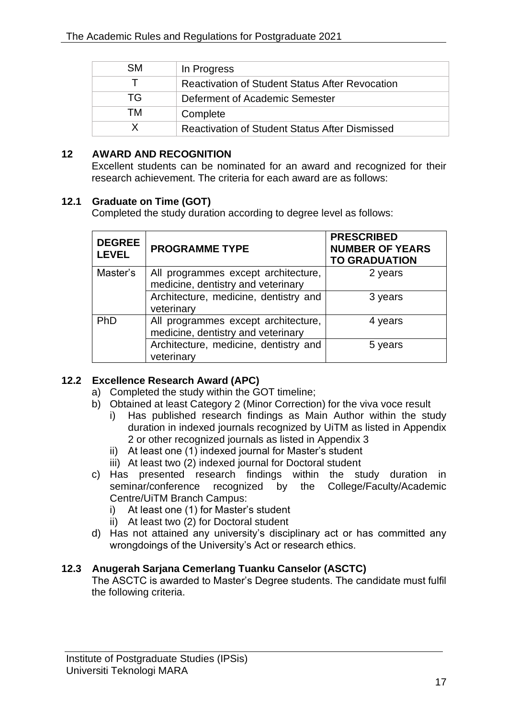| <b>SM</b> | In Progress                                            |
|-----------|--------------------------------------------------------|
|           | <b>Reactivation of Student Status After Revocation</b> |
| TG.       | Deferment of Academic Semester                         |
| тм        | Complete                                               |
|           | <b>Reactivation of Student Status After Dismissed</b>  |

### <span id="page-29-0"></span>**12 AWARD AND RECOGNITION**

Excellent students can be nominated for an award and recognized for their research achievement. The criteria for each award are as follows:

# <span id="page-29-1"></span>**12.1 Graduate on Time (GOT)**

Completed the study duration according to degree level as follows:

| <b>DEGREE</b><br><b>LEVEL</b> | <b>PROGRAMME TYPE</b>                                                     | <b>PRESCRIBED</b><br><b>NUMBER OF YEARS</b><br><b>TO GRADUATION</b> |
|-------------------------------|---------------------------------------------------------------------------|---------------------------------------------------------------------|
| Master's                      | All programmes except architecture,<br>medicine, dentistry and veterinary | 2 years                                                             |
|                               | Architecture, medicine, dentistry and<br>veterinary                       | 3 years                                                             |
| PhD                           | All programmes except architecture,<br>medicine, dentistry and veterinary | 4 years                                                             |
|                               | Architecture, medicine, dentistry and<br>veterinary                       | 5 years                                                             |

# <span id="page-29-2"></span>**12.2 Excellence Research Award (APC)**

- a) Completed the study within the GOT timeline;
- b) Obtained at least Category 2 (Minor Correction) for the viva voce result
	- i) Has published research findings as Main Author within the study duration in indexed journals recognized by UiTM as listed in Appendix 2 or other recognized journals as listed in Appendix 3
	- ii) At least one (1) indexed journal for Master's student
	- iii) At least two (2) indexed journal for Doctoral student
- c) Has presented research findings within the study duration in seminar/conference recognized by the College/Faculty/Academic Centre/UiTM Branch Campus:
	- i) At least one (1) for Master's student
	- $ii)$  At least two  $(2)$  for Doctoral student
- d) Has not attained any university's disciplinary act or has committed any wrongdoings of the University's Act or research ethics.

# <span id="page-29-3"></span>**12.3 Anugerah Sarjana Cemerlang Tuanku Canselor (ASCTC)**

The ASCTC is awarded to Master's Degree students. The candidate must fulfil the following criteria.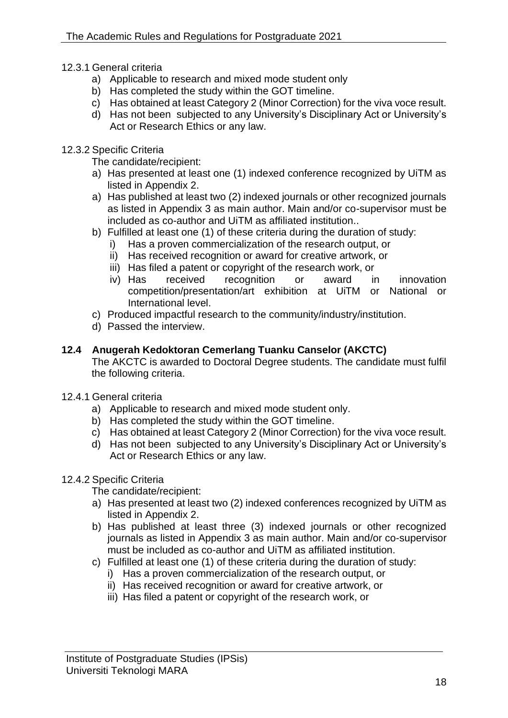- <span id="page-30-0"></span>12.3.1 General criteria
	- a) Applicable to research and mixed mode student only
	- b) Has completed the study within the GOT timeline.
	- c) Has obtained at least Category 2 (Minor Correction) for the viva voce result.
	- d) Has not been subjected to any University's Disciplinary Act or University's Act or Research Ethics or any law.
- <span id="page-30-1"></span>12.3.2 Specific Criteria
	- The candidate/recipient:
	- a) Has presented at least one (1) indexed conference recognized by UiTM as listed in Appendix 2.
	- a) Has published at least two (2) indexed journals or other recognized journals as listed in Appendix 3 as main author. Main and/or co-supervisor must be included as co-author and UiTM as affiliated institution..
	- b) Fulfilled at least one (1) of these criteria during the duration of study:
		- i) Has a proven commercialization of the research output, or
		- ii) Has received recognition or award for creative artwork, or
		- iii) Has filed a patent or copyright of the research work, or
		- iv) Has received recognition or award in innovation competition/presentation/art exhibition at UiTM or National or International level.
	- c) Produced impactful research to the community/industry/institution.
	- d) Passed the interview.

# <span id="page-30-2"></span>**12.4 Anugerah Kedoktoran Cemerlang Tuanku Canselor (AKCTC)**

The AKCTC is awarded to Doctoral Degree students. The candidate must fulfil the following criteria.

- <span id="page-30-3"></span>12.4.1 General criteria
	- a) Applicable to research and mixed mode student only.
	- b) Has completed the study within the GOT timeline.
	- c) Has obtained at least Category 2 (Minor Correction) for the viva voce result.
	- d) Has not been subjected to any University's Disciplinary Act or University's Act or Research Ethics or any law.

# <span id="page-30-4"></span>12.4.2 Specific Criteria

The candidate/recipient:

- a) Has presented at least two (2) indexed conferences recognized by UiTM as listed in Appendix 2.
- b) Has published at least three (3) indexed journals or other recognized journals as listed in Appendix 3 as main author. Main and/or co-supervisor must be included as co-author and UiTM as affiliated institution.
- c) Fulfilled at least one (1) of these criteria during the duration of study:
	- i) Has a proven commercialization of the research output, or
	- ii) Has received recognition or award for creative artwork, or
	- iii) Has filed a patent or copyright of the research work, or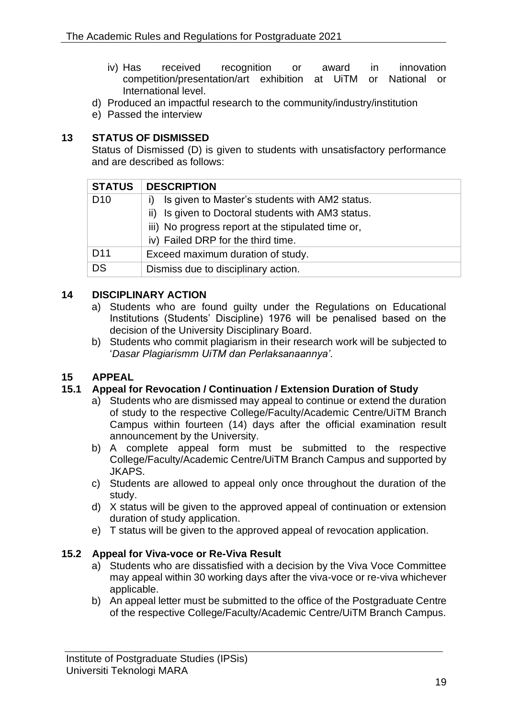- iv) Has received recognition or award in innovation competition/presentation/art exhibition at UiTM or National or International level.
- d) Produced an impactful research to the community/industry/institution
- e) Passed the interview

# <span id="page-31-0"></span>**13 STATUS OF DISMISSED**

Status of Dismissed (D) is given to students with unsatisfactory performance and are described as follows:

| <b>STATUS</b>   | <b>DESCRIPTION</b>                                  |
|-----------------|-----------------------------------------------------|
| D <sub>10</sub> | Is given to Master's students with AM2 status.<br>Ð |
|                 | ii) Is given to Doctoral students with AM3 status.  |
|                 | iii) No progress report at the stipulated time or,  |
|                 | iv) Failed DRP for the third time.                  |
| D <sub>11</sub> | Exceed maximum duration of study.                   |
| DS              | Dismiss due to disciplinary action.                 |

# <span id="page-31-1"></span>**14 DISCIPLINARY ACTION**

- a) Students who are found guilty under the Regulations on Educational Institutions (Students' Discipline) 1976 will be penalised based on the decision of the University Disciplinary Board.
- b) Students who commit plagiarism in their research work will be subjected to '*Dasar Plagiarismm UiTM dan Perlaksanaannya'*.

# <span id="page-31-2"></span>**15 APPEAL**

# <span id="page-31-3"></span>**15.1 Appeal for Revocation / Continuation / Extension Duration of Study**

- a) Students who are dismissed may appeal to continue or extend the duration of study to the respective College/Faculty/Academic Centre/UiTM Branch Campus within fourteen (14) days after the official examination result announcement by the University.
- b) A complete appeal form must be submitted to the respective College/Faculty/Academic Centre/UiTM Branch Campus and supported by JKAPS.
- c) Students are allowed to appeal only once throughout the duration of the study.
- d) X status will be given to the approved appeal of continuation or extension duration of study application.
- e) T status will be given to the approved appeal of revocation application.

# <span id="page-31-4"></span>**15.2 Appeal for Viva-voce or Re-Viva Result**

- a) Students who are dissatisfied with a decision by the Viva Voce Committee may appeal within 30 working days after the viva-voce or re-viva whichever applicable.
- b) An appeal letter must be submitted to the office of the Postgraduate Centre of the respective College/Faculty/Academic Centre/UiTM Branch Campus.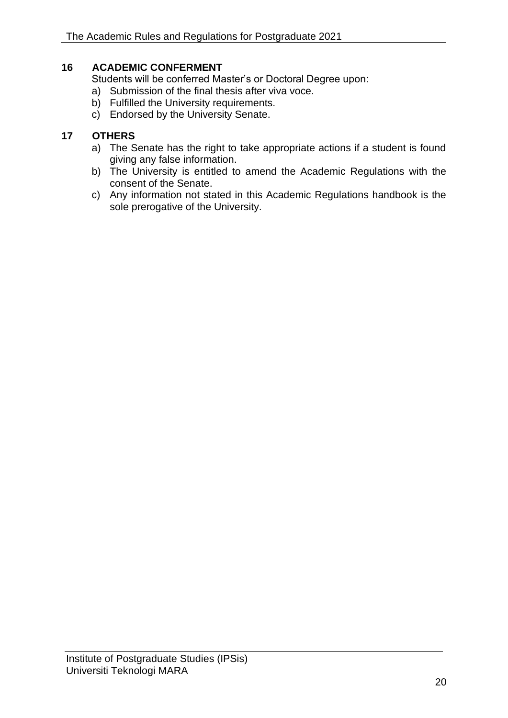# <span id="page-32-0"></span>**16 ACADEMIC CONFERMENT**

Students will be conferred Master's or Doctoral Degree upon:

- a) Submission of the final thesis after viva voce.
- b) Fulfilled the University requirements.
- c) Endorsed by the University Senate.

# <span id="page-32-1"></span>**17 OTHERS**

- a) The Senate has the right to take appropriate actions if a student is found giving any false information.
- b) The University is entitled to amend the Academic Regulations with the consent of the Senate.
- c) Any information not stated in this Academic Regulations handbook is the sole prerogative of the University.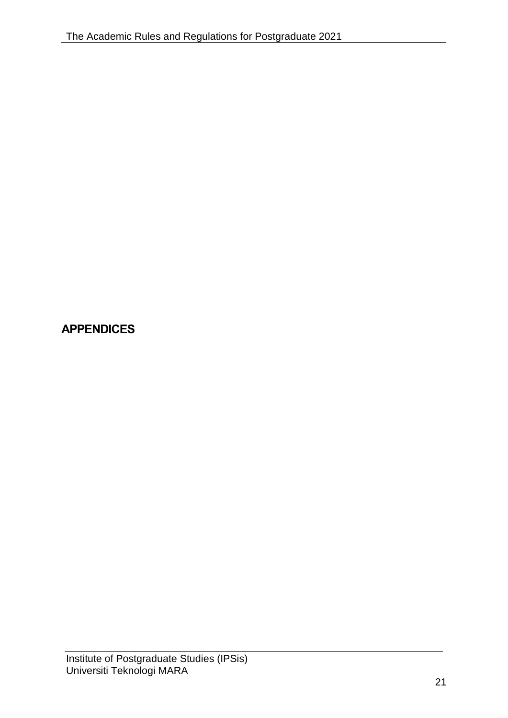# <span id="page-33-0"></span>**APPENDICES**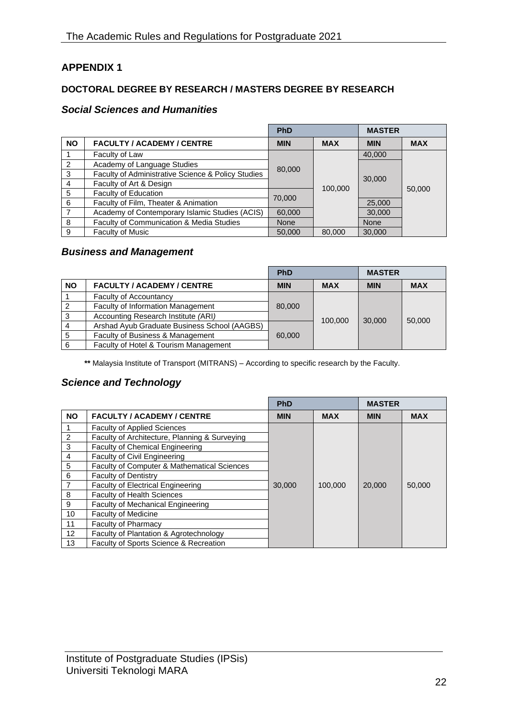# <span id="page-34-0"></span>**APPENDIX 1**

### **DOCTORAL DEGREE BY RESEARCH / MASTERS DEGREE BY RESEARCH**

### *Social Sciences and Humanities*

|                |                                                    | <b>PhD</b>  |            | <b>MASTER</b> |            |
|----------------|----------------------------------------------------|-------------|------------|---------------|------------|
| <b>NO</b>      | <b>FACULTY / ACADEMY / CENTRE</b>                  | <b>MIN</b>  | <b>MAX</b> | <b>MIN</b>    | <b>MAX</b> |
|                | Faculty of Law                                     |             |            | 40,000        |            |
| 2              | Academy of Language Studies                        | 80,000      |            |               |            |
| 3              | Faculty of Administrative Science & Policy Studies |             |            | 30,000        |            |
| $\overline{4}$ | Faculty of Art & Design                            |             | 100,000    |               |            |
| 5              | Faculty of Education                               |             |            |               | 50,000     |
| 6              | Faculty of Film, Theater & Animation               | 70,000      |            | 25,000        |            |
| 7              | Academy of Contemporary Islamic Studies (ACIS)     | 60,000      |            | 30,000        |            |
| 8              | Faculty of Communication & Media Studies           | <b>None</b> |            | <b>None</b>   |            |
| 9              | <b>Faculty of Music</b>                            | 50,000      | 80,000     | 30,000        |            |

# *Business and Management*

|           |                                              | PhD        |            | <b>MASTER</b> |            |
|-----------|----------------------------------------------|------------|------------|---------------|------------|
| <b>NO</b> | <b>FACULTY / ACADEMY / CENTRE</b>            | <b>MIN</b> | <b>MAX</b> | <b>MIN</b>    | <b>MAX</b> |
|           | <b>Faculty of Accountancy</b>                | 80,000     |            | 30,000        | 50,000     |
| 2         | <b>Faculty of Information Management</b>     |            |            |               |            |
| 3         | Accounting Research Institute (ARI)          |            |            |               |            |
|           | Arshad Ayub Graduate Business School (AAGBS) | 100,000    |            |               |            |
|           | Faculty of Business & Management             | 60,000     |            |               |            |
| 6         | Faculty of Hotel & Tourism Management        |            |            |               |            |

**\*\*** Malaysia Institute of Transport (MITRANS) – According to specific research by the Faculty.

# *Science and Technology*

|                |                                               | <b>PhD</b> |            | <b>MASTER</b> |            |
|----------------|-----------------------------------------------|------------|------------|---------------|------------|
| <b>NO</b>      | <b>FACULTY / ACADEMY / CENTRE</b>             | <b>MIN</b> | <b>MAX</b> | <b>MIN</b>    | <b>MAX</b> |
|                | <b>Faculty of Applied Sciences</b>            |            |            |               |            |
| $\overline{2}$ | Faculty of Architecture, Planning & Surveying |            |            |               |            |
| 3              | <b>Faculty of Chemical Engineering</b>        |            |            |               |            |
| 4              | <b>Faculty of Civil Engineering</b>           |            |            |               |            |
| 5              | Faculty of Computer & Mathematical Sciences   |            |            |               |            |
| 6              | <b>Faculty of Dentistry</b>                   |            |            |               |            |
|                | <b>Faculty of Electrical Engineering</b>      | 30,000     | 100,000    | 20,000        | 50,000     |
| 8              | <b>Faculty of Health Sciences</b>             |            |            |               |            |
| 9              | <b>Faculty of Mechanical Engineering</b>      |            |            |               |            |
| 10             | <b>Faculty of Medicine</b>                    |            |            |               |            |
| 11             | <b>Faculty of Pharmacy</b>                    |            |            |               |            |
| 12             | Faculty of Plantation & Agrotechnology        |            |            |               |            |
| 13             | Faculty of Sports Science & Recreation        |            |            |               |            |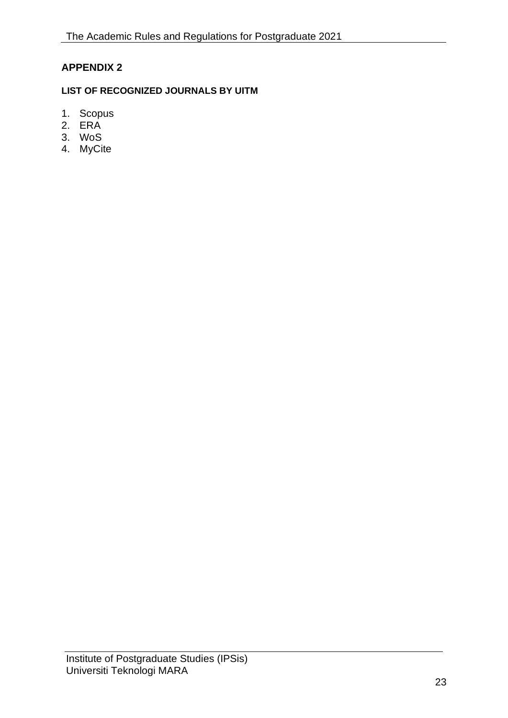# <span id="page-35-0"></span>**APPENDIX 2**

# **LIST OF RECOGNIZED JOURNALS BY UITM**

- 1. Scopus
- 2. ERA
- 3. WoS
- 4. MyCite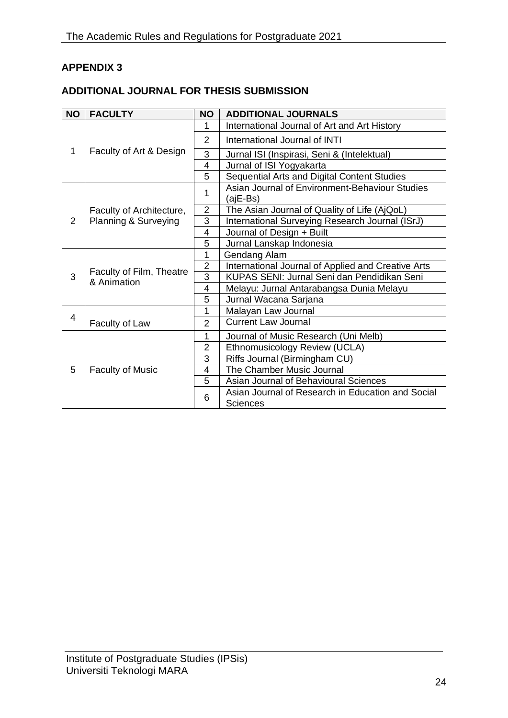# <span id="page-36-0"></span>**APPENDIX 3**

# **ADDITIONAL JOURNAL FOR THESIS SUBMISSION**

| <b>NO</b> | <b>FACULTY</b>                                   | <b>NO</b>      | <b>ADDITIONAL JOURNALS</b>                                           |
|-----------|--------------------------------------------------|----------------|----------------------------------------------------------------------|
| 1         | Faculty of Art & Design                          | 1              | International Journal of Art and Art History                         |
|           |                                                  | $\overline{2}$ | International Journal of INTI                                        |
|           |                                                  | 3              | Jurnal ISI (Inspirasi, Seni & (Intelektual)                          |
|           |                                                  | $\overline{4}$ | Jurnal of ISI Yogyakarta                                             |
|           |                                                  | 5              | Sequential Arts and Digital Content Studies                          |
| 2         | Faculty of Architecture,<br>Planning & Surveying | 1              | Asian Journal of Environment-Behaviour Studies<br>(ajE-Bs)           |
|           |                                                  | $\overline{2}$ | The Asian Journal of Quality of Life (AjQoL)                         |
|           |                                                  | 3              | International Surveying Research Journal (ISrJ)                      |
|           |                                                  | 4              | Journal of Design + Built                                            |
|           |                                                  | 5              | Jurnal Lanskap Indonesia                                             |
| 3         | Faculty of Film, Theatre<br>& Animation          | 1              | Gendang Alam                                                         |
|           |                                                  | $\overline{2}$ | International Journal of Applied and Creative Arts                   |
|           |                                                  | 3              | KUPAS SENI: Jurnal Seni dan Pendidikan Seni                          |
|           |                                                  | $\overline{4}$ | Melayu: Jurnal Antarabangsa Dunia Melayu                             |
|           |                                                  | 5              | Jurnal Wacana Sarjana                                                |
|           |                                                  | 1              | Malayan Law Journal                                                  |
| 4         | Faculty of Law                                   | $\overline{2}$ | <b>Current Law Journal</b>                                           |
| 5         | <b>Faculty of Music</b>                          | 1              | Journal of Music Research (Uni Melb)                                 |
|           |                                                  | $\overline{2}$ | Ethnomusicology Review (UCLA)                                        |
|           |                                                  | 3              | Riffs Journal (Birmingham CU)                                        |
|           |                                                  | 4              | The Chamber Music Journal                                            |
|           |                                                  | 5              | Asian Journal of Behavioural Sciences                                |
|           |                                                  | 6              | Asian Journal of Research in Education and Social<br><b>Sciences</b> |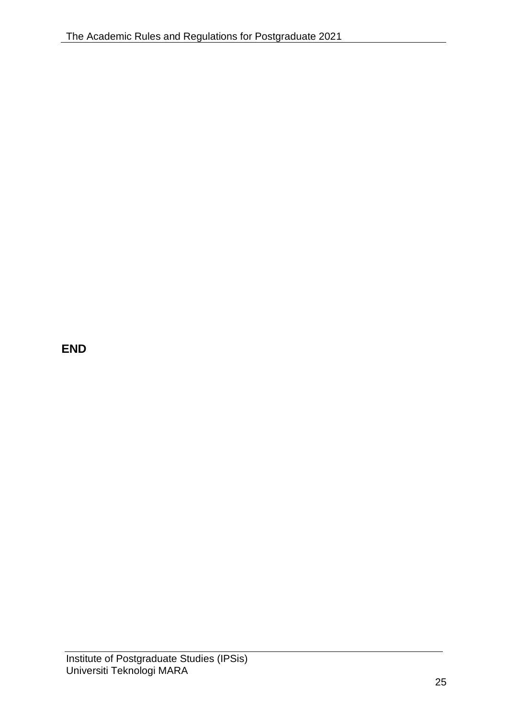**END**